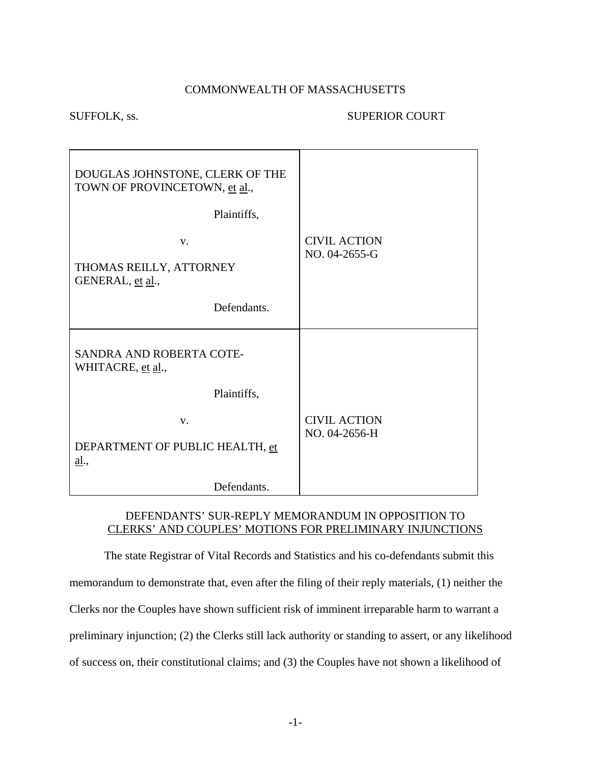#### COMMONWEALTH OF MASSACHUSETTS

#### SUFFOLK, ss. SUPERIOR COURT

| DOUGLAS JOHNSTONE, CLERK OF THE<br>TOWN OF PROVINCETOWN, et al.,<br>Plaintiffs, |                                      |
|---------------------------------------------------------------------------------|--------------------------------------|
| $V_{\cdot}$<br>THOMAS REILLY, ATTORNEY<br>GENERAL, et al.,                      | <b>CIVIL ACTION</b><br>NO. 04-2655-G |
| Defendants.                                                                     |                                      |
| SANDRA AND ROBERTA COTE-<br>WHITACRE, et al.,                                   |                                      |
| Plaintiffs,                                                                     |                                      |
| V.<br>DEPARTMENT OF PUBLIC HEALTH, et<br><u>al.,</u>                            | <b>CIVIL ACTION</b><br>NO. 04-2656-H |
| Defendants.                                                                     |                                      |

### DEFENDANTS' SUR-REPLY MEMORANDUM IN OPPOSITION TO CLERKS' AND COUPLES' MOTIONS FOR PRELIMINARY INJUNCTIONS

 The state Registrar of Vital Records and Statistics and his co-defendants submit this memorandum to demonstrate that, even after the filing of their reply materials, (1) neither the Clerks nor the Couples have shown sufficient risk of imminent irreparable harm to warrant a preliminary injunction; (2) the Clerks still lack authority or standing to assert, or any likelihood of success on, their constitutional claims; and (3) the Couples have not shown a likelihood of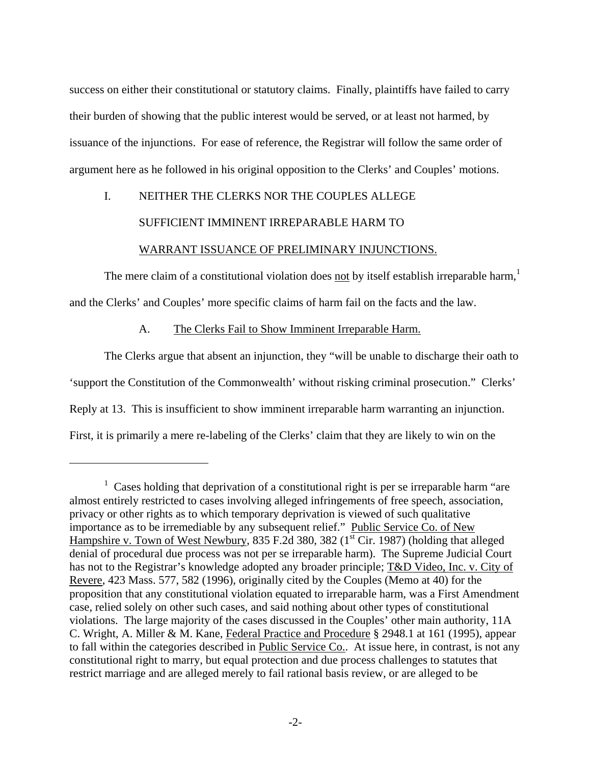<span id="page-1-0"></span>success on either their constitutional or statutory claims. Finally, plaintiffs have failed to carry their burden of showing that the public interest would be served, or at least not harmed, by issuance of the injunctions. For ease of reference, the Registrar will follow the same order of argument here as he followed in his original opposition to the Clerks' and Couples' motions.

# I. NEITHER THE CLERKS NOR THE COUPLES ALLEGE SUFFICIENT IMMINENT IRREPARABLE HARM TO WARRANT ISSUANCE OF PRELIMINARY INJUNCTIONS.

The mere claim of a constitutional violation does not by itself establish irreparable harm,<sup>[1](#page-1-0)</sup> and the Clerks' and Couples' more specific claims of harm fail on the facts and the law.

A. The Clerks Fail to Show Imminent Irreparable Harm.

 $\overline{a}$ 

 The Clerks argue that absent an injunction, they "will be unable to discharge their oath to 'support the Constitution of the Commonwealth' without risking criminal prosecution." Clerks' Reply at 13. This is insufficient to show imminent irreparable harm warranting an injunction. First, it is primarily a mere re-labeling of the Clerks' claim that they are likely to win on the

<sup>&</sup>lt;sup>1</sup> Cases holding that deprivation of a constitutional right is per se irreparable harm "are almost entirely restricted to cases involving alleged infringements of free speech, association, privacy or other rights as to which temporary deprivation is viewed of such qualitative importance as to be irremediable by any subsequent relief." Public Service Co. of New Hampshire v. Town of West Newbury, 835 F.2d 380, 382 ( $1<sup>st</sup> Cir.$  1987) (holding that alleged denial of procedural due process was not per se irreparable harm). The Supreme Judicial Court has not to the Registrar's knowledge adopted any broader principle; T&D Video, Inc. v. City of Revere, 423 Mass. 577, 582 (1996), originally cited by the Couples (Memo at 40) for the proposition that any constitutional violation equated to irreparable harm, was a First Amendment case, relied solely on other such cases, and said nothing about other types of constitutional violations. The large majority of the cases discussed in the Couples' other main authority, 11A C. Wright, A. Miller & M. Kane, Federal Practice and Procedure § 2948.1 at 161 (1995), appear to fall within the categories described in Public Service Co.. At issue here, in contrast, is not any constitutional right to marry, but equal protection and due process challenges to statutes that restrict marriage and are alleged merely to fail rational basis review, or are alleged to be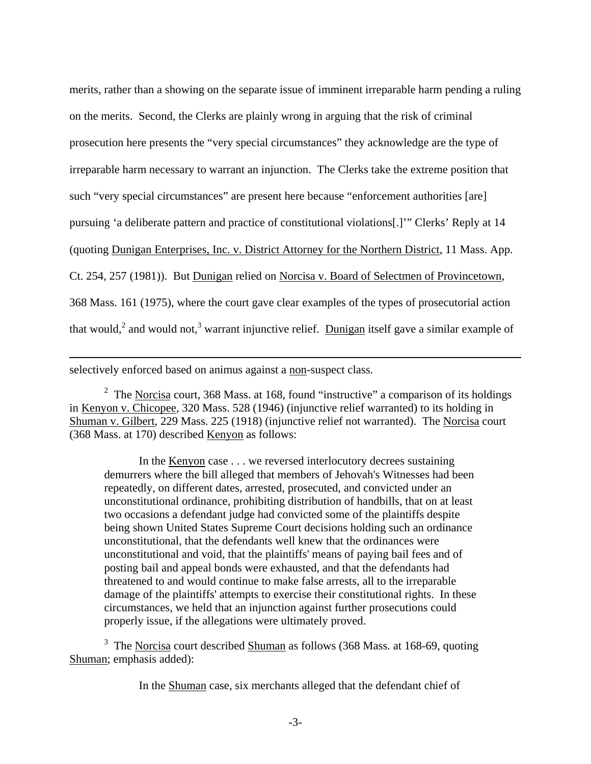<span id="page-2-1"></span>merits, rather than a showing on the separate issue of imminent irreparable harm pending a ruling on the merits. Second, the Clerks are plainly wrong in arguing that the risk of criminal prosecution here presents the "very special circumstances" they acknowledge are the type of irreparable harm necessary to warrant an injunction. The Clerks take the extreme position that such "very special circumstances" are present here because "enforcement authorities [are] pursuing 'a deliberate pattern and practice of constitutional violations[.]'" Clerks' Reply at 14 (quoting Dunigan Enterprises, Inc. v. District Attorney for the Northern District, 11 Mass. App. Ct. 254, 257 (1981)). But Dunigan relied on Norcisa v. Board of Selectmen of Provincetown, 368 Mass. 161 (1975), where the court gave clear examples of the types of prosecutorial action that would,<sup>[2](#page-2-0)</sup> and would not,<sup>[3](#page-2-1)</sup> warrant injunctive relief. Dunigan itself gave a similar example of

selectively enforced based on animus against a non-suspect class.

 $\overline{a}$ 

<span id="page-2-0"></span><sup>2</sup> The Norcisa court, 368 Mass. at 168, found "instructive" a comparison of its holdings in Kenyon v. Chicopee, 320 Mass. 528 (1946) (injunctive relief warranted) to its holding in Shuman v. Gilbert, 229 Mass. 225 (1918) (injunctive relief not warranted). The Norcisa court (368 Mass. at 170) described Kenyon as follows:

 In the Kenyon case . . . we reversed interlocutory decrees sustaining demurrers where the bill alleged that members of Jehovah's Witnesses had been repeatedly, on different dates, arrested, prosecuted, and convicted under an unconstitutional ordinance, prohibiting distribution of handbills, that on at least two occasions a defendant judge had convicted some of the plaintiffs despite being shown United States Supreme Court decisions holding such an ordinance unconstitutional, that the defendants well knew that the ordinances were unconstitutional and void, that the plaintiffs' means of paying bail fees and of posting bail and appeal bonds were exhausted, and that the defendants had threatened to and would continue to make false arrests, all to the irreparable damage of the plaintiffs' attempts to exercise their constitutional rights. In these circumstances, we held that an injunction against further prosecutions could properly issue, if the allegations were ultimately proved.

<sup>3</sup> The Norcisa court described Shuman as follows (368 Mass. at 168-69, quoting Shuman; emphasis added):

In the Shuman case, six merchants alleged that the defendant chief of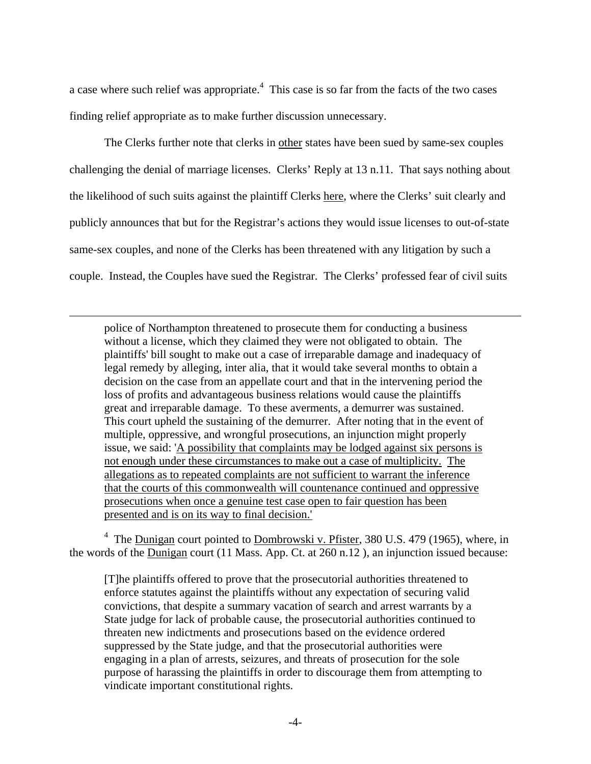a case where such relief was appropriate.<sup>[4](#page-3-0)</sup> This case is so far from the facts of the two cases finding relief appropriate as to make further discussion unnecessary.

 The Clerks further note that clerks in other states have been sued by same-sex couples challenging the denial of marriage licenses. Clerks' Reply at 13 n.11. That says nothing about the likelihood of such suits against the plaintiff Clerks here, where the Clerks' suit clearly and publicly announces that but for the Registrar's actions they would issue licenses to out-of-state same-sex couples, and none of the Clerks has been threatened with any litigation by such a couple. Instead, the Couples have sued the Registrar. The Clerks' professed fear of civil suits

<u>.</u>

police of Northampton threatened to prosecute them for conducting a business without a license, which they claimed they were not obligated to obtain. The plaintiffs' bill sought to make out a case of irreparable damage and inadequacy of legal remedy by alleging, inter alia, that it would take several months to obtain a decision on the case from an appellate court and that in the intervening period the loss of profits and advantageous business relations would cause the plaintiffs great and irreparable damage. To these averments, a demurrer was sustained. This court upheld the sustaining of the demurrer. After noting that in the event of multiple, oppressive, and wrongful prosecutions, an injunction might properly issue, we said: 'A possibility that complaints may be lodged against six persons is not enough under these circumstances to make out a case of multiplicity. The allegations as to repeated complaints are not sufficient to warrant the inference that the courts of this commonwealth will countenance continued and oppressive prosecutions when once a genuine test case open to fair question has been presented and is on its way to final decision.'

<span id="page-3-0"></span><sup>4</sup> The **Dunigan** court pointed to **Dombrowski v. Pfister**, 380 U.S. 479 (1965), where, in the words of the Dunigan court (11 Mass. App. Ct. at 260 n.12 ), an injunction issued because:

[T]he plaintiffs offered to prove that the prosecutorial authorities threatened to enforce statutes against the plaintiffs without any expectation of securing valid convictions, that despite a summary vacation of search and arrest warrants by a State judge for lack of probable cause, the prosecutorial authorities continued to threaten new indictments and prosecutions based on the evidence ordered suppressed by the State judge, and that the prosecutorial authorities were engaging in a plan of arrests, seizures, and threats of prosecution for the sole purpose of harassing the plaintiffs in order to discourage them from attempting to vindicate important constitutional rights.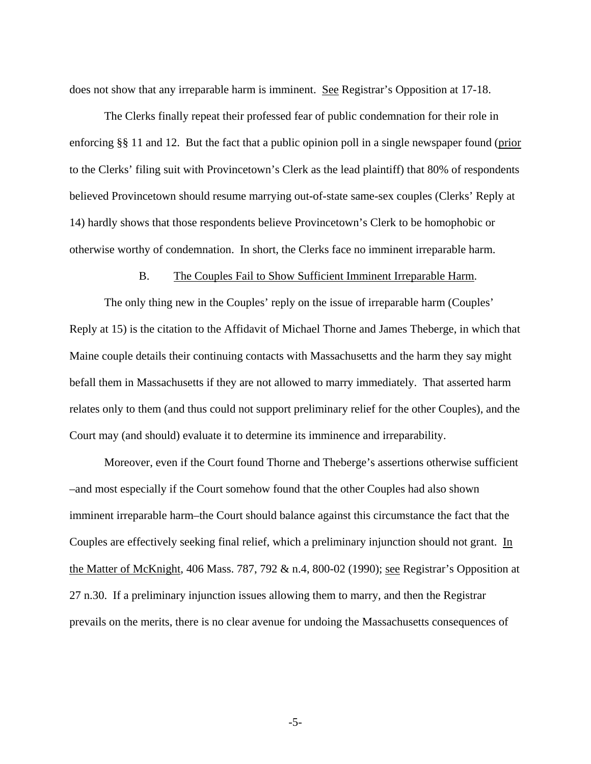does not show that any irreparable harm is imminent. See Registrar's Opposition at 17-18.

 The Clerks finally repeat their professed fear of public condemnation for their role in enforcing §§ 11 and 12. But the fact that a public opinion poll in a single newspaper found (prior to the Clerks' filing suit with Provincetown's Clerk as the lead plaintiff) that 80% of respondents believed Provincetown should resume marrying out-of-state same-sex couples (Clerks' Reply at 14) hardly shows that those respondents believe Provincetown's Clerk to be homophobic or otherwise worthy of condemnation. In short, the Clerks face no imminent irreparable harm.

#### B. The Couples Fail to Show Sufficient Imminent Irreparable Harm.

 The only thing new in the Couples' reply on the issue of irreparable harm (Couples' Reply at 15) is the citation to the Affidavit of Michael Thorne and James Theberge, in which that Maine couple details their continuing contacts with Massachusetts and the harm they say might befall them in Massachusetts if they are not allowed to marry immediately. That asserted harm relates only to them (and thus could not support preliminary relief for the other Couples), and the Court may (and should) evaluate it to determine its imminence and irreparability.

 Moreover, even if the Court found Thorne and Theberge's assertions otherwise sufficient –and most especially if the Court somehow found that the other Couples had also shown imminent irreparable harm–the Court should balance against this circumstance the fact that the Couples are effectively seeking final relief, which a preliminary injunction should not grant. In the Matter of McKnight, 406 Mass. 787, 792 & n.4, 800-02 (1990); see Registrar's Opposition at 27 n.30. If a preliminary injunction issues allowing them to marry, and then the Registrar prevails on the merits, there is no clear avenue for undoing the Massachusetts consequences of

-5-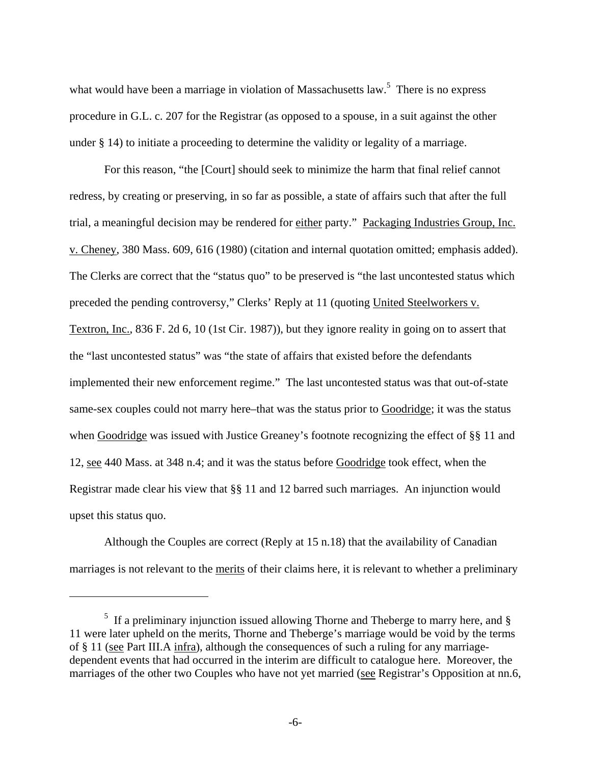<span id="page-5-0"></span>what would have been a marriage in violation of Massachusetts law.<sup>[5](#page-5-0)</sup> There is no express procedure in G.L. c. 207 for the Registrar (as opposed to a spouse, in a suit against the other under § 14) to initiate a proceeding to determine the validity or legality of a marriage.

 For this reason, "the [Court] should seek to minimize the harm that final relief cannot redress, by creating or preserving, in so far as possible, a state of affairs such that after the full trial, a meaningful decision may be rendered for either party." Packaging Industries Group, Inc. v. Cheney, 380 Mass. 609, 616 (1980) (citation and internal quotation omitted; emphasis added). The Clerks are correct that the "status quo" to be preserved is "the last uncontested status which preceded the pending controversy," Clerks' Reply at 11 (quoting United Steelworkers v. Textron, Inc., 836 F. 2d 6, 10 (1st Cir. 1987)), but they ignore reality in going on to assert that the "last uncontested status" was "the state of affairs that existed before the defendants implemented their new enforcement regime." The last uncontested status was that out-of-state same-sex couples could not marry here–that was the status prior to Goodridge; it was the status when Goodridge was issued with Justice Greaney's footnote recognizing the effect of §§ 11 and 12, see 440 Mass. at 348 n.4; and it was the status before Goodridge took effect, when the Registrar made clear his view that §§ 11 and 12 barred such marriages. An injunction would upset this status quo.

 Although the Couples are correct (Reply at 15 n.18) that the availability of Canadian marriages is not relevant to the merits of their claims here, it is relevant to whether a preliminary

 $5$  If a preliminary injunction issued allowing Thorne and Theberge to marry here, and  $\S$ 11 were later upheld on the merits, Thorne and Theberge's marriage would be void by the terms of § 11 (see Part III.A infra), although the consequences of such a ruling for any marriagedependent events that had occurred in the interim are difficult to catalogue here. Moreover, the marriages of the other two Couples who have not yet married (see Registrar's Opposition at nn.6,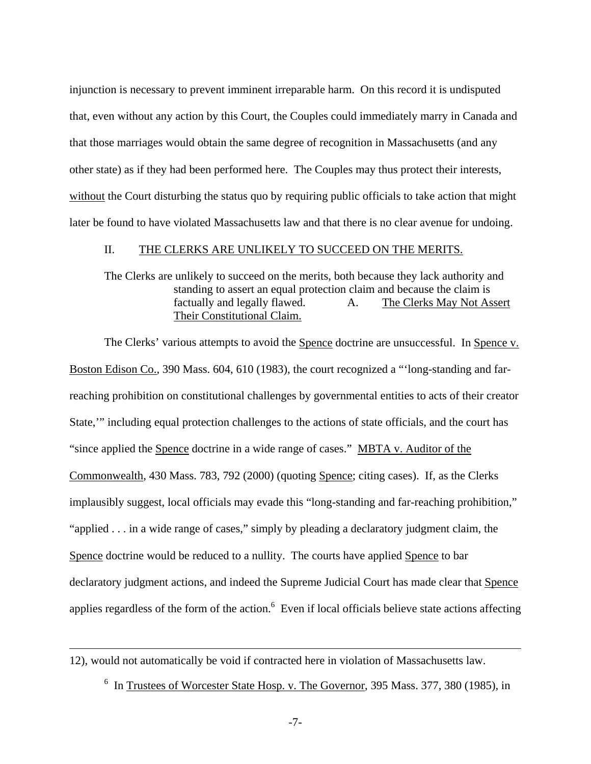<span id="page-6-0"></span>injunction is necessary to prevent imminent irreparable harm. On this record it is undisputed that, even without any action by this Court, the Couples could immediately marry in Canada and that those marriages would obtain the same degree of recognition in Massachusetts (and any other state) as if they had been performed here. The Couples may thus protect their interests, without the Court disturbing the status quo by requiring public officials to take action that might later be found to have violated Massachusetts law and that there is no clear avenue for undoing.

#### II. THE CLERKS ARE UNLIKELY TO SUCCEED ON THE MERITS.

#### The Clerks are unlikely to succeed on the merits, both because they lack authority and standing to assert an equal protection claim and because the claim is factually and legally flawed. A. The Clerks May Not Assert Their Constitutional Claim.

The Clerks' various attempts to avoid the Spence doctrine are unsuccessful. In Spence v. Boston Edison Co., 390 Mass. 604, 610 (1983), the court recognized a "'long-standing and farreaching prohibition on constitutional challenges by governmental entities to acts of their creator State,'" including equal protection challenges to the actions of state officials, and the court has "since applied the Spence doctrine in a wide range of cases." MBTA v. Auditor of the Commonwealth, 430 Mass. 783, 792 (2000) (quoting Spence; citing cases). If, as the Clerks implausibly suggest, local officials may evade this "long-standing and far-reaching prohibition," "applied . . . in a wide range of cases," simply by pleading a declaratory judgment claim, the Spence doctrine would be reduced to a nullity. The courts have applied Spence to bar declaratory judgment actions, and indeed the Supreme Judicial Court has made clear that Spence applies regardless of the form of the action. $<sup>6</sup>$  Even if local officials believe state actions affecting</sup>

#### 12), would not automatically be void if contracted here in violation of Massachusetts law.

 $\overline{a}$ 

<sup>6</sup> In Trustees of Worcester State Hosp. v. The Governor, 395 Mass. 377, 380 (1985), in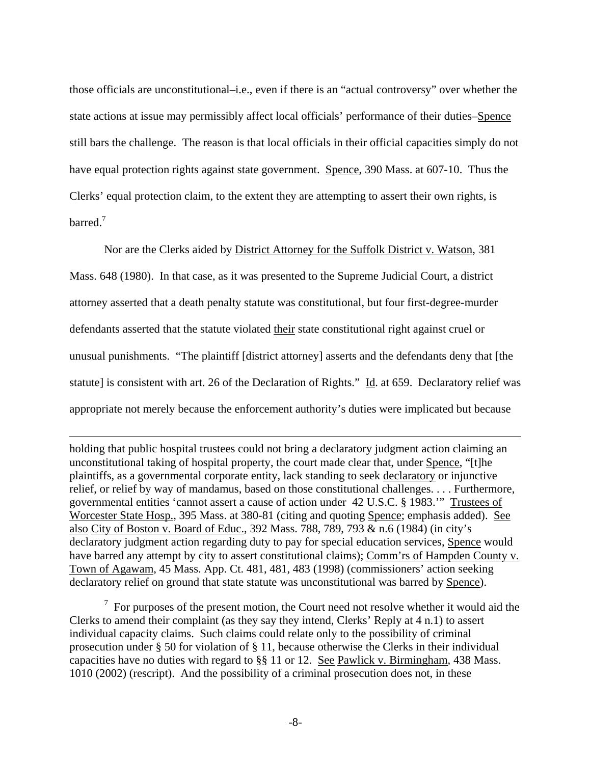<span id="page-7-0"></span>those officials are unconstitutional–i.e., even if there is an "actual controversy" over whether the state actions at issue may permissibly affect local officials' performance of their duties–Spence still bars the challenge. The reason is that local officials in their official capacities simply do not have equal protection rights against state government. Spence, 390 Mass. at 607-10. Thus the Clerks' equal protection claim, to the extent they are attempting to assert their own rights, is barred<sup>[7](#page-7-0)</sup>

 Nor are the Clerks aided by District Attorney for the Suffolk District v. Watson, 381 Mass. 648 (1980). In that case, as it was presented to the Supreme Judicial Court, a district attorney asserted that a death penalty statute was constitutional, but four first-degree-murder defendants asserted that the statute violated their state constitutional right against cruel or unusual punishments. "The plaintiff [district attorney] asserts and the defendants deny that [the statute] is consistent with art. 26 of the Declaration of Rights." Id. at 659. Declaratory relief was appropriate not merely because the enforcement authority's duties were implicated but because

holding that public hospital trustees could not bring a declaratory judgment action claiming an unconstitutional taking of hospital property, the court made clear that, under Spence, "[t]he plaintiffs, as a governmental corporate entity, lack standing to seek declaratory or injunctive relief, or relief by way of mandamus, based on those constitutional challenges. . . . Furthermore, governmental entities 'cannot assert a cause of action under 42 U.S.C. § 1983.'" Trustees of Worcester State Hosp., 395 Mass. at 380-81 (citing and quoting Spence; emphasis added). See also City of Boston v. Board of Educ., 392 Mass. 788, 789, 793 & n.6 (1984) (in city's declaratory judgment action regarding duty to pay for special education services, Spence would have barred any attempt by city to assert constitutional claims); Comm'rs of Hampden County v. Town of Agawam, 45 Mass. App. Ct. 481, 481, 483 (1998) (commissioners' action seeking declaratory relief on ground that state statute was unconstitutional was barred by Spence).

 $\overline{a}$ 

 $7$  For purposes of the present motion, the Court need not resolve whether it would aid the Clerks to amend their complaint (as they say they intend, Clerks' Reply at 4 n.1) to assert individual capacity claims. Such claims could relate only to the possibility of criminal prosecution under § 50 for violation of § 11, because otherwise the Clerks in their individual capacities have no duties with regard to §§ 11 or 12. See Pawlick v. Birmingham, 438 Mass. 1010 (2002) (rescript). And the possibility of a criminal prosecution does not, in these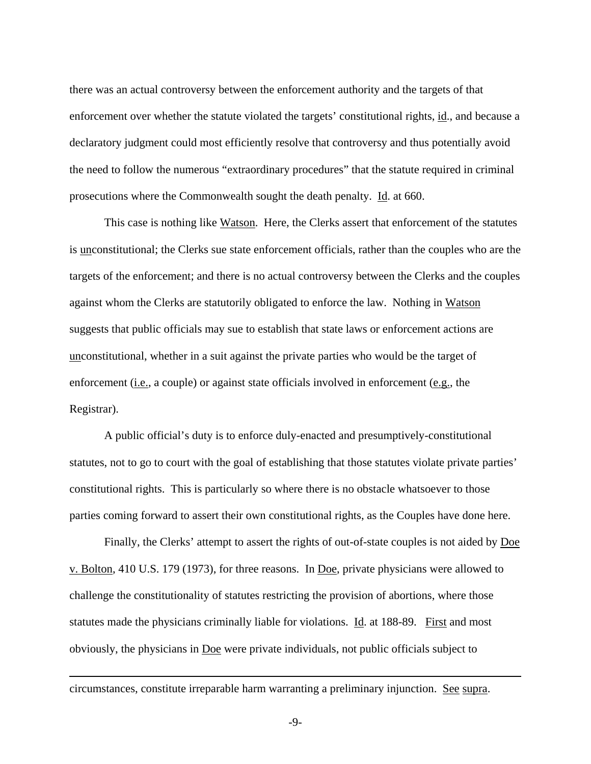there was an actual controversy between the enforcement authority and the targets of that enforcement over whether the statute violated the targets' constitutional rights, id., and because a declaratory judgment could most efficiently resolve that controversy and thus potentially avoid the need to follow the numerous "extraordinary procedures" that the statute required in criminal prosecutions where the Commonwealth sought the death penalty. Id. at 660.

 This case is nothing like Watson. Here, the Clerks assert that enforcement of the statutes is unconstitutional; the Clerks sue state enforcement officials, rather than the couples who are the targets of the enforcement; and there is no actual controversy between the Clerks and the couples against whom the Clerks are statutorily obligated to enforce the law. Nothing in Watson suggests that public officials may sue to establish that state laws or enforcement actions are unconstitutional, whether in a suit against the private parties who would be the target of enforcement (*i.e.*, a couple) or against state officials involved in enforcement (*e.g.*, the Registrar).

 A public official's duty is to enforce duly-enacted and presumptively-constitutional statutes, not to go to court with the goal of establishing that those statutes violate private parties' constitutional rights. This is particularly so where there is no obstacle whatsoever to those parties coming forward to assert their own constitutional rights, as the Couples have done here.

 Finally, the Clerks' attempt to assert the rights of out-of-state couples is not aided by Doe v. Bolton, 410 U.S. 179 (1973), for three reasons. In Doe, private physicians were allowed to challenge the constitutionality of statutes restricting the provision of abortions, where those statutes made the physicians criminally liable for violations. Id. at 188-89. First and most obviously, the physicians in Doe were private individuals, not public officials subject to

circumstances, constitute irreparable harm warranting a preliminary injunction. See supra.

1

-9-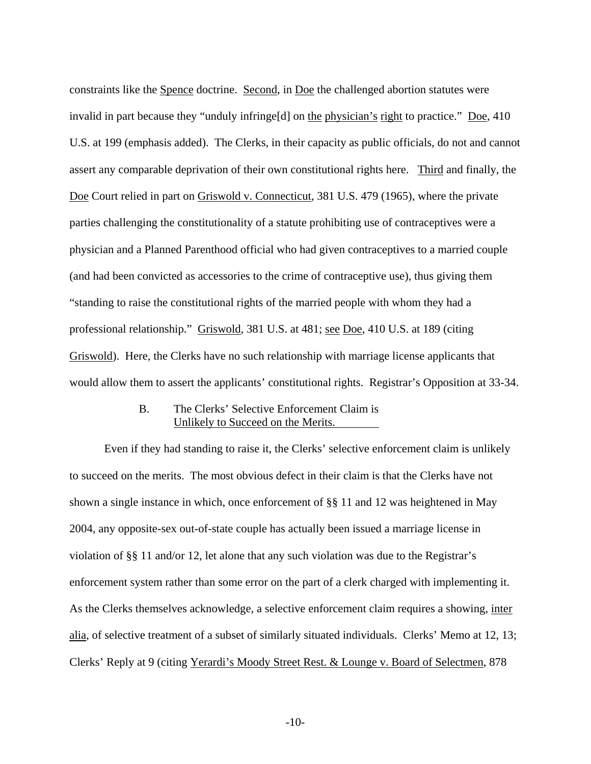constraints like the Spence doctrine. Second, in Doe the challenged abortion statutes were invalid in part because they "unduly infringe<sup>[d]</sup> on the physician's right to practice." Doe, 410 U.S. at 199 (emphasis added). The Clerks, in their capacity as public officials, do not and cannot assert any comparable deprivation of their own constitutional rights here. Third and finally, the Doe Court relied in part on Griswold v. Connecticut, 381 U.S. 479 (1965), where the private parties challenging the constitutionality of a statute prohibiting use of contraceptives were a physician and a Planned Parenthood official who had given contraceptives to a married couple (and had been convicted as accessories to the crime of contraceptive use), thus giving them "standing to raise the constitutional rights of the married people with whom they had a professional relationship." Griswold, 381 U.S. at 481; see Doe, 410 U.S. at 189 (citing Griswold). Here, the Clerks have no such relationship with marriage license applicants that would allow them to assert the applicants' constitutional rights. Registrar's Opposition at 33-34.

#### B. The Clerks' Selective Enforcement Claim is Unlikely to Succeed on the Merits.

 Even if they had standing to raise it, the Clerks' selective enforcement claim is unlikely to succeed on the merits. The most obvious defect in their claim is that the Clerks have not shown a single instance in which, once enforcement of §§ 11 and 12 was heightened in May 2004, any opposite-sex out-of-state couple has actually been issued a marriage license in violation of §§ 11 and/or 12, let alone that any such violation was due to the Registrar's enforcement system rather than some error on the part of a clerk charged with implementing it. As the Clerks themselves acknowledge, a selective enforcement claim requires a showing, inter alia, of selective treatment of a subset of similarly situated individuals. Clerks' Memo at 12, 13; Clerks' Reply at 9 (citing Yerardi's Moody Street Rest. & Lounge v. Board of Selectmen, 878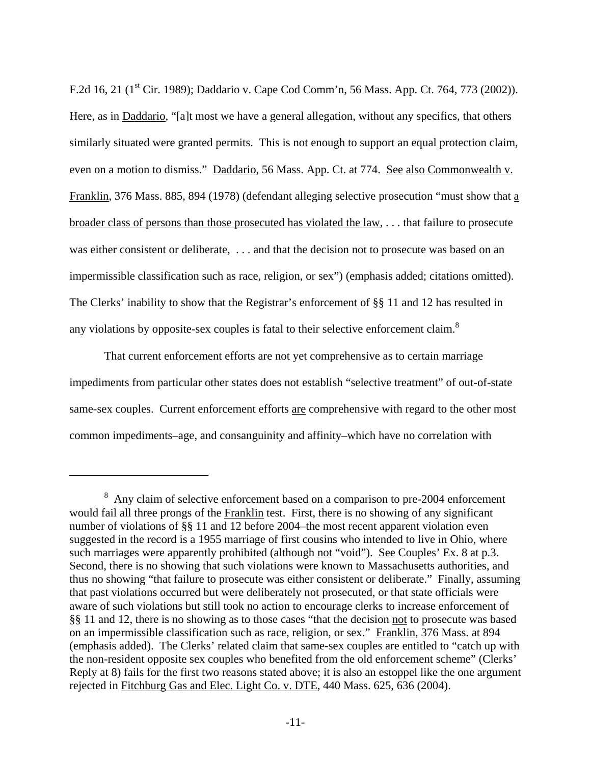F.2d 16, 21 (1<sup>st</sup> Cir. 1989); Daddario v. Cape Cod Comm'n, 56 Mass. App. Ct. 764, 773 (2002)). Here, as in <u>Daddario</u>, "[a]t most we have a general allegation, without any specifics, that others similarly situated were granted permits. This is not enough to support an equal protection claim, even on a motion to dismiss." Daddario, 56 Mass. App. Ct. at 774. See also Commonwealth v. Franklin, 376 Mass. 885, 894 (1978) (defendant alleging selective prosecution "must show that a broader class of persons than those prosecuted has violated the law, . . . that failure to prosecute was either consistent or deliberate, . . . and that the decision not to prosecute was based on an impermissible classification such as race, religion, or sex") (emphasis added; citations omitted). The Clerks' inability to show that the Registrar's enforcement of §§ 11 and 12 has resulted in any violations by opposite-sex couples is fatal to their selective enforcement claim.<sup>8</sup>

 That current enforcement efforts are not yet comprehensive as to certain marriage impediments from particular other states does not establish "selective treatment" of out-of-state same-sex couples. Current enforcement efforts are comprehensive with regard to the other most common impediments–age, and consanguinity and affinity–which have no correlation with

 $\overline{a}$ 

<span id="page-10-0"></span> $8$  Any claim of selective enforcement based on a comparison to pre-2004 enforcement would fail all three prongs of the Franklin test. First, there is no showing of any significant number of violations of §§ 11 and 12 before 2004–the most recent apparent violation even suggested in the record is a 1955 marriage of first cousins who intended to live in Ohio, where such marriages were apparently prohibited (although not "void"). See Couples' Ex. 8 at p.3. Second, there is no showing that such violations were known to Massachusetts authorities, and thus no showing "that failure to prosecute was either consistent or deliberate." Finally, assuming that past violations occurred but were deliberately not prosecuted, or that state officials were aware of such violations but still took no action to encourage clerks to increase enforcement of §§ 11 and 12, there is no showing as to those cases "that the decision not to prosecute was based on an impermissible classification such as race, religion, or sex." Franklin, 376 Mass. at 894 (emphasis added). The Clerks' related claim that same-sex couples are entitled to "catch up with the non-resident opposite sex couples who benefited from the old enforcement scheme" (Clerks' Reply at 8) fails for the first two reasons stated above; it is also an estoppel like the one argument rejected in Fitchburg Gas and Elec. Light Co. v. DTE, 440 Mass. 625, 636 (2004).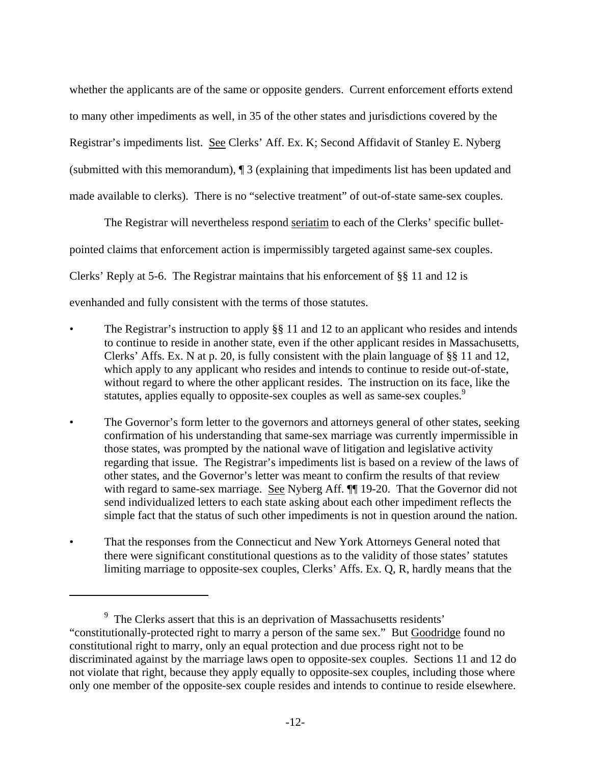whether the applicants are of the same or opposite genders. Current enforcement efforts extend to many other impediments as well, in 35 of the other states and jurisdictions covered by the Registrar's impediments list. See Clerks' Aff. Ex. K; Second Affidavit of Stanley E. Nyberg (submitted with this memorandum), ¶ 3 (explaining that impediments list has been updated and made available to clerks). There is no "selective treatment" of out-of-state same-sex couples.

 The Registrar will nevertheless respond seriatim to each of the Clerks' specific bulletpointed claims that enforcement action is impermissibly targeted against same-sex couples. Clerks' Reply at 5-6. The Registrar maintains that his enforcement of §§ 11 and 12 is evenhanded and fully consistent with the terms of those statutes.

- The Registrar's instruction to apply §§ 11 and 12 to an applicant who resides and intends to continue to reside in another state, even if the other applicant resides in Massachusetts, Clerks' Affs. Ex. N at p. 20, is fully consistent with the plain language of §§ 11 and 12, which apply to any applicant who resides and intends to continue to reside out-of-state, without regard to where the other applicant resides. The instruction on its face, like the statutes, applies equally to opposite-sex couples as well as same-sex couples.<sup>9</sup>
- The Governor's form letter to the governors and attorneys general of other states, seeking confirmation of his understanding that same-sex marriage was currently impermissible in those states, was prompted by the national wave of litigation and legislative activity regarding that issue. The Registrar's impediments list is based on a review of the laws of other states, and the Governor's letter was meant to confirm the results of that review with regard to same-sex marriage. See Nyberg Aff.  $\P$  19-20. That the Governor did not send individualized letters to each state asking about each other impediment reflects the simple fact that the status of such other impediments is not in question around the nation.
- That the responses from the Connecticut and New York Attorneys General noted that there were significant constitutional questions as to the validity of those states' statutes limiting marriage to opposite-sex couples, Clerks' Affs. Ex. Q, R, hardly means that the

 $\overline{a}$ 

<span id="page-11-0"></span><sup>&</sup>lt;sup>9</sup> The Clerks assert that this is an deprivation of Massachusetts residents' "constitutionally-protected right to marry a person of the same sex." But Goodridge found no constitutional right to marry, only an equal protection and due process right not to be discriminated against by the marriage laws open to opposite-sex couples. Sections 11 and 12 do not violate that right, because they apply equally to opposite-sex couples, including those where only one member of the opposite-sex couple resides and intends to continue to reside elsewhere.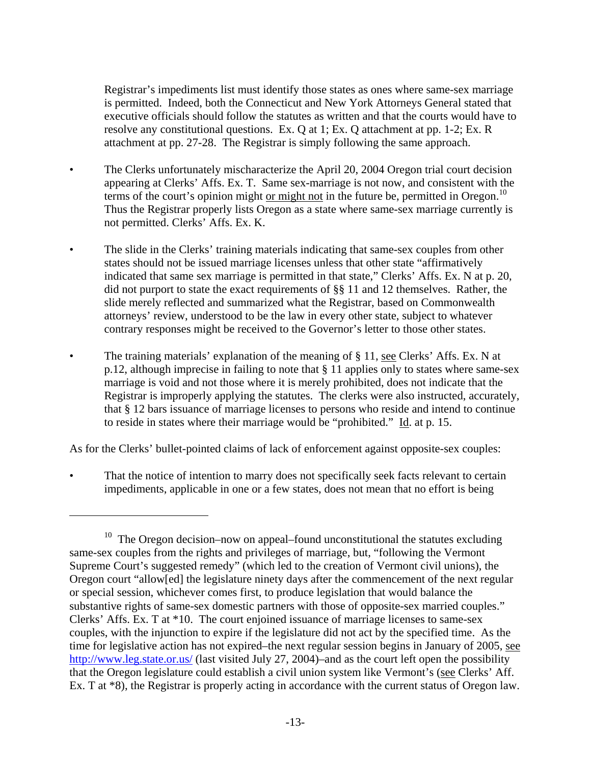Registrar's impediments list must identify those states as ones where same-sex marriage is permitted. Indeed, both the Connecticut and New York Attorneys General stated that executive officials should follow the statutes as written and that the courts would have to resolve any constitutional questions. Ex. Q at 1; Ex. Q attachment at pp. 1-2; Ex. R attachment at pp. 27-28. The Registrar is simply following the same approach.

- The Clerks unfortunately mischaracterize the April 20, 2004 Oregon trial court decision appearing at Clerks' Affs. Ex. T. Same sex-marriage is not now, and consistent with the terms of the court's opinion might or might not in the future be, permitted in Oregon.<sup>10</sup> Thus the Registrar properly lists Oregon as a state where same-sex marriage currently is not permitted. Clerks' Affs. Ex. K.
- The slide in the Clerks' training materials indicating that same-sex couples from other states should not be issued marriage licenses unless that other state "affirmatively indicated that same sex marriage is permitted in that state," Clerks' Affs. Ex. N at p. 20, did not purport to state the exact requirements of §§ 11 and 12 themselves. Rather, the slide merely reflected and summarized what the Registrar, based on Commonwealth attorneys' review, understood to be the law in every other state, subject to whatever contrary responses might be received to the Governor's letter to those other states.
- The training materials' explanation of the meaning of § 11, see Clerks' Affs. Ex. N at p.12, although imprecise in failing to note that § 11 applies only to states where same-sex marriage is void and not those where it is merely prohibited, does not indicate that the Registrar is improperly applying the statutes. The clerks were also instructed, accurately, that § 12 bars issuance of marriage licenses to persons who reside and intend to continue to reside in states where their marriage would be "prohibited." Id. at p. 15.

As for the Clerks' bullet-pointed claims of lack of enforcement against opposite-sex couples:

That the notice of intention to marry does not specifically seek facts relevant to certain impediments, applicable in one or a few states, does not mean that no effort is being

<span id="page-12-0"></span> $10$  The Oregon decision–now on appeal–found unconstitutional the statutes excluding same-sex couples from the rights and privileges of marriage, but, "following the Vermont Supreme Court's suggested remedy" (which led to the creation of Vermont civil unions), the Oregon court "allow[ed] the legislature ninety days after the commencement of the next regular or special session, whichever comes first, to produce legislation that would balance the substantive rights of same-sex domestic partners with those of opposite-sex married couples." Clerks' Affs. Ex. T at \*10. The court enjoined issuance of marriage licenses to same-sex couples, with the injunction to expire if the legislature did not act by the specified time. As the time for legislative action has not expired–the next regular session begins in January of 2005, see <http://www.leg.state.or.us/>(last visited July 27, 2004)–and as the court left open the possibility that the Oregon legislature could establish a civil union system like Vermont's (see Clerks' Aff. Ex. T at \*8), the Registrar is properly acting in accordance with the current status of Oregon law.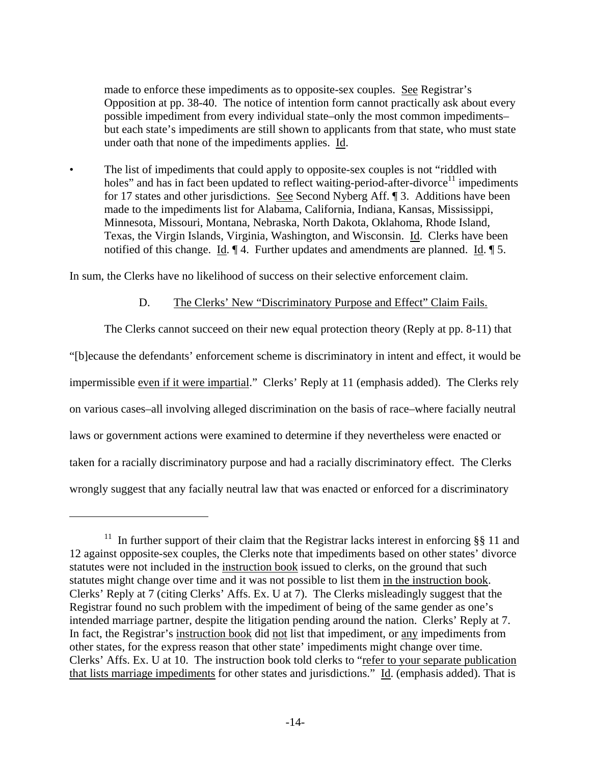<span id="page-13-0"></span>made to enforce these impediments as to opposite-sex couples. See Registrar's Opposition at pp. 38-40. The notice of intention form cannot practically ask about every possible impediment from every individual state–only the most common impediments– but each state's impediments are still shown to applicants from that state, who must state under oath that none of the impediments applies. Id.

• The list of impediments that could apply to opposite-sex couples is not "riddled with holes" and has in fact been updated to reflect waiting-period-after-divorce<sup>11</sup> impediments for 17 states and other jurisdictions. See Second Nyberg Aff. ¶ 3. Additions have been made to the impediments list for Alabama, California, Indiana, Kansas, Mississippi, Minnesota, Missouri, Montana, Nebraska, North Dakota, Oklahoma, Rhode Island, Texas, the Virgin Islands, Virginia, Washington, and Wisconsin. Id. Clerks have been notified of this change. Id.  $\P$  4. Further updates and amendments are planned. Id.  $\P$  5.

In sum, the Clerks have no likelihood of success on their selective enforcement claim.

#### D. The Clerks' New "Discriminatory Purpose and Effect" Claim Fails.

 The Clerks cannot succeed on their new equal protection theory (Reply at pp. 8-11) that "[b]ecause the defendants' enforcement scheme is discriminatory in intent and effect, it would be impermissible even if it were impartial." Clerks' Reply at 11 (emphasis added). The Clerks rely on various cases–all involving alleged discrimination on the basis of race–where facially neutral laws or government actions were examined to determine if they nevertheless were enacted or taken for a racially discriminatory purpose and had a racially discriminatory effect. The Clerks wrongly suggest that any facially neutral law that was enacted or enforced for a discriminatory

<sup>&</sup>lt;sup>11</sup> In further support of their claim that the Registrar lacks interest in enforcing §§ 11 and 12 against opposite-sex couples, the Clerks note that impediments based on other states' divorce statutes were not included in the instruction book issued to clerks, on the ground that such statutes might change over time and it was not possible to list them in the instruction book. Clerks' Reply at 7 (citing Clerks' Affs. Ex. U at 7). The Clerks misleadingly suggest that the Registrar found no such problem with the impediment of being of the same gender as one's intended marriage partner, despite the litigation pending around the nation. Clerks' Reply at 7. In fact, the Registrar's instruction book did not list that impediment, or any impediments from other states, for the express reason that other state' impediments might change over time. Clerks' Affs. Ex. U at 10. The instruction book told clerks to "refer to your separate publication that lists marriage impediments for other states and jurisdictions." Id. (emphasis added). That is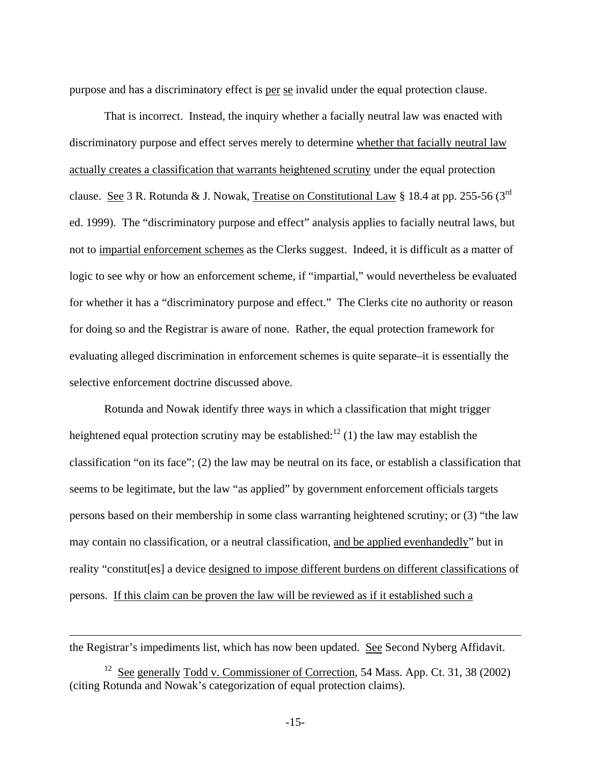purpose and has a discriminatory effect is per se invalid under the equal protection clause.

 That is incorrect. Instead, the inquiry whether a facially neutral law was enacted with discriminatory purpose and effect serves merely to determine whether that facially neutral law actually creates a classification that warrants heightened scrutiny under the equal protection clause. See 3 R. Rotunda & J. Nowak, Treatise on Constitutional Law § 18.4 at pp. 255-56 (3<sup>rd</sup>) ed. 1999). The "discriminatory purpose and effect" analysis applies to facially neutral laws, but not to impartial enforcement schemes as the Clerks suggest. Indeed, it is difficult as a matter of logic to see why or how an enforcement scheme, if "impartial," would nevertheless be evaluated for whether it has a "discriminatory purpose and effect." The Clerks cite no authority or reason for doing so and the Registrar is aware of none. Rather, the equal protection framework for evaluating alleged discrimination in enforcement schemes is quite separate–it is essentially the selective enforcement doctrine discussed above.

 Rotunda and Nowak identify three ways in which a classification that might trigger heightened equal protection scrutiny may be established:<sup>12</sup> (1) the law may establish the classification "on its face"; (2) the law may be neutral on its face, or establish a classification that seems to be legitimate, but the law "as applied" by government enforcement officials targets persons based on their membership in some class warranting heightened scrutiny; or (3) "the law may contain no classification, or a neutral classification, and be applied evenhandedly" but in reality "constitut[es] a device designed to impose different burdens on different classifications of persons. If this claim can be proven the law will be reviewed as if it established such a

the Registrar's impediments list, which has now been updated. See Second Nyberg Affidavit.

 $\overline{a}$ 

<span id="page-14-0"></span><sup>&</sup>lt;sup>12</sup> See generally Todd v. Commissioner of Correction, 54 Mass. App. Ct. 31, 38 (2002) (citing Rotunda and Nowak's categorization of equal protection claims).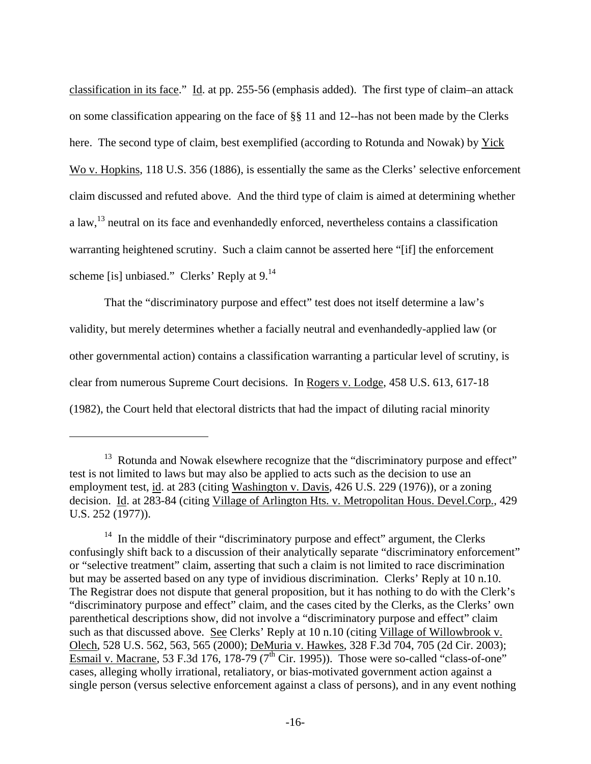<span id="page-15-1"></span>classification in its face." Id. at pp. 255-56 (emphasis added). The first type of claim–an attack on some classification appearing on the face of §§ 11 and 12--has not been made by the Clerks here. The second type of claim, best exemplified (according to Rotunda and Nowak) by Yick Wo v. Hopkins, 118 U.S. 356 (1886), is essentially the same as the Clerks' selective enforcement claim discussed and refuted above. And the third type of claim is aimed at determining whether a law,<sup>13</sup> neutral on its face and evenhandedly enforced, nevertheless contains a classification warranting heightened scrutiny. Such a claim cannot be asserted here "[if] the enforcement scheme [is] unbiased." Clerks' Reply at 9.<sup>14</sup>

 That the "discriminatory purpose and effect" test does not itself determine a law's validity, but merely determines whether a facially neutral and evenhandedly-applied law (or other governmental action) contains a classification warranting a particular level of scrutiny, is clear from numerous Supreme Court decisions. In Rogers v. Lodge, 458 U.S. 613, 617-18 (1982), the Court held that electoral districts that had the impact of diluting racial minority

<u>.</u>

<span id="page-15-0"></span><sup>&</sup>lt;sup>13</sup> Rotunda and Nowak elsewhere recognize that the "discriminatory purpose and effect" test is not limited to laws but may also be applied to acts such as the decision to use an employment test, id. at 283 (citing Washington v. Davis, 426 U.S. 229 (1976)), or a zoning decision. Id. at 283-84 (citing Village of Arlington Hts. v. Metropolitan Hous. Devel.Corp., 429 U.S. 252 (1977)).

 $14$  In the middle of their "discriminatory purpose and effect" argument, the Clerks confusingly shift back to a discussion of their analytically separate "discriminatory enforcement" or "selective treatment" claim, asserting that such a claim is not limited to race discrimination but may be asserted based on any type of invidious discrimination. Clerks' Reply at 10 n.10. The Registrar does not dispute that general proposition, but it has nothing to do with the Clerk's "discriminatory purpose and effect" claim, and the cases cited by the Clerks, as the Clerks' own parenthetical descriptions show, did not involve a "discriminatory purpose and effect" claim such as that discussed above. See Clerks' Reply at 10 n.10 (citing Village of Willowbrook v. Olech, 528 U.S. 562, 563, 565 (2000); DeMuria v. Hawkes, 328 F.3d 704, 705 (2d Cir. 2003); Esmail v. Macrane, 53 F.3d 176, 178-79 ( $7^{\text{th}}$  Cir. 1995)). Those were so-called "class-of-one" cases, alleging wholly irrational, retaliatory, or bias-motivated government action against a single person (versus selective enforcement against a class of persons), and in any event nothing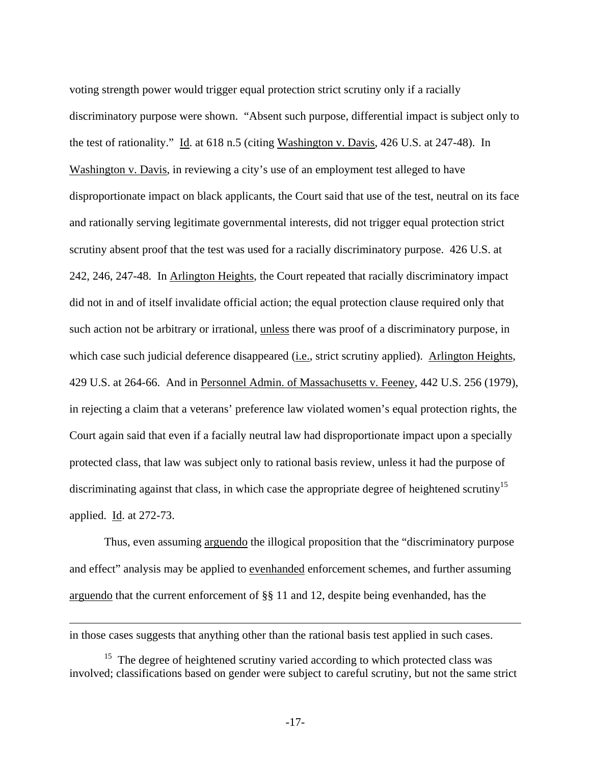<span id="page-16-0"></span>voting strength power would trigger equal protection strict scrutiny only if a racially discriminatory purpose were shown. "Absent such purpose, differential impact is subject only to the test of rationality." Id. at 618 n.5 (citing Washington v. Davis, 426 U.S. at 247-48). In Washington v. Davis, in reviewing a city's use of an employment test alleged to have disproportionate impact on black applicants, the Court said that use of the test, neutral on its face and rationally serving legitimate governmental interests, did not trigger equal protection strict scrutiny absent proof that the test was used for a racially discriminatory purpose. 426 U.S. at 242, 246, 247-48. In Arlington Heights, the Court repeated that racially discriminatory impact did not in and of itself invalidate official action; the equal protection clause required only that such action not be arbitrary or irrational, unless there was proof of a discriminatory purpose, in which case such judicial deference disappeared (i.e., strict scrutiny applied). Arlington Heights, 429 U.S. at 264-66. And in Personnel Admin. of Massachusetts v. Feeney, 442 U.S. 256 (1979), in rejecting a claim that a veterans' preference law violated women's equal protection rights, the Court again said that even if a facially neutral law had disproportionate impact upon a specially protected class, that law was subject only to rational basis review, unless it had the purpose of discriminating against that class, in which case the appropriate degree of heightened scrutiny<sup>15</sup> applied. Id. at 272-73.

 Thus, even assuming arguendo the illogical proposition that the "discriminatory purpose and effect" analysis may be applied to evenhanded enforcement schemes, and further assuming arguendo that the current enforcement of §§ 11 and 12, despite being evenhanded, has the

in those cases suggests that anything other than the rational basis test applied in such cases.

<sup>&</sup>lt;sup>15</sup> The degree of heightened scrutiny varied according to which protected class was involved; classifications based on gender were subject to careful scrutiny, but not the same strict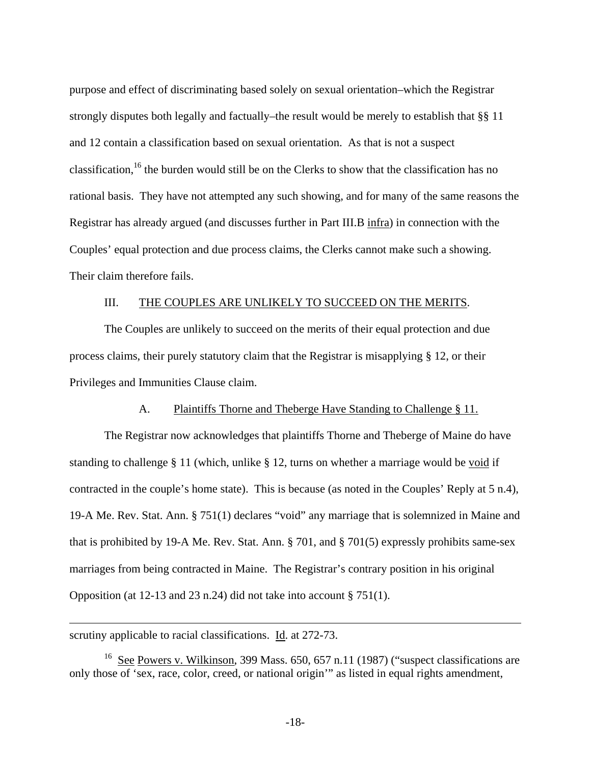<span id="page-17-0"></span>purpose and effect of discriminating based solely on sexual orientation–which the Registrar strongly disputes both legally and factually–the result would be merely to establish that §§ 11 and 12 contain a classification based on sexual orientation. As that is not a suspect classification,<sup>16</sup> the burden would still be on the Clerks to show that the classification has no rational basis. They have not attempted any such showing, and for many of the same reasons the Registrar has already argued (and discusses further in Part III.B infra) in connection with the Couples' equal protection and due process claims, the Clerks cannot make such a showing. Their claim therefore fails.

#### III. THE COUPLES ARE UNLIKELY TO SUCCEED ON THE MERITS.

 The Couples are unlikely to succeed on the merits of their equal protection and due process claims, their purely statutory claim that the Registrar is misapplying § 12, or their Privileges and Immunities Clause claim.

#### A. Plaintiffs Thorne and Theberge Have Standing to Challenge § 11.

 The Registrar now acknowledges that plaintiffs Thorne and Theberge of Maine do have standing to challenge § 11 (which, unlike § 12, turns on whether a marriage would be void if contracted in the couple's home state). This is because (as noted in the Couples' Reply at 5 n.4), 19-A Me. Rev. Stat. Ann. § 751(1) declares "void" any marriage that is solemnized in Maine and that is prohibited by 19-A Me. Rev. Stat. Ann. § 701, and § 701(5) expressly prohibits same-sex marriages from being contracted in Maine. The Registrar's contrary position in his original Opposition (at 12-13 and 23 n.24) did not take into account § 751(1).

scrutiny applicable to racial classifications. Id. at 272-73.

1

<sup>16</sup> See Powers v. Wilkinson, 399 Mass. 650, 657 n.11 (1987) ("suspect classifications are only those of 'sex, race, color, creed, or national origin'" as listed in equal rights amendment,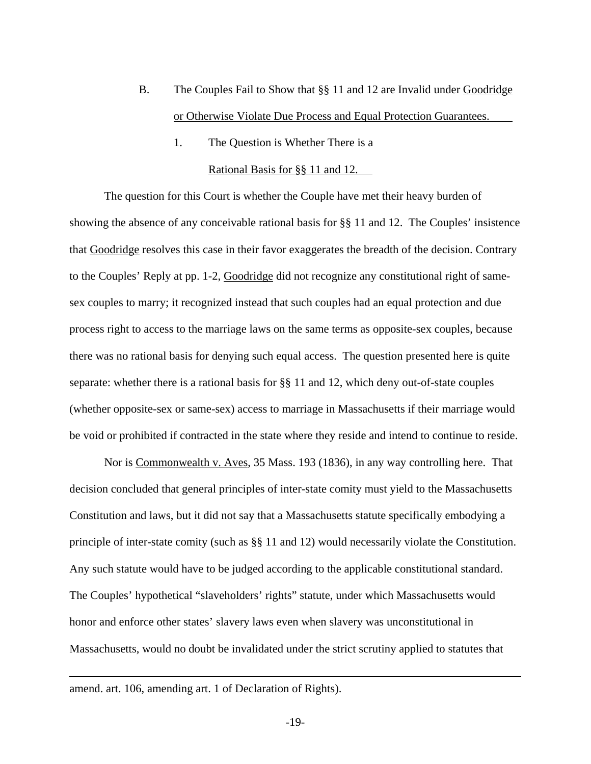- B. The Couples Fail to Show that §§ 11 and 12 are Invalid under Goodridge or Otherwise Violate Due Process and Equal Protection Guarantees.
	- 1. The Question is Whether There is a Rational Basis for §§ 11 and 12.

 The question for this Court is whether the Couple have met their heavy burden of showing the absence of any conceivable rational basis for §§ 11 and 12. The Couples' insistence that Goodridge resolves this case in their favor exaggerates the breadth of the decision. Contrary to the Couples' Reply at pp. 1-2, Goodridge did not recognize any constitutional right of samesex couples to marry; it recognized instead that such couples had an equal protection and due process right to access to the marriage laws on the same terms as opposite-sex couples, because there was no rational basis for denying such equal access. The question presented here is quite separate: whether there is a rational basis for §§ 11 and 12, which deny out-of-state couples (whether opposite-sex or same-sex) access to marriage in Massachusetts if their marriage would be void or prohibited if contracted in the state where they reside and intend to continue to reside.

 Nor is Commonwealth v. Aves, 35 Mass. 193 (1836), in any way controlling here. That decision concluded that general principles of inter-state comity must yield to the Massachusetts Constitution and laws, but it did not say that a Massachusetts statute specifically embodying a principle of inter-state comity (such as §§ 11 and 12) would necessarily violate the Constitution. Any such statute would have to be judged according to the applicable constitutional standard. The Couples' hypothetical "slaveholders' rights" statute, under which Massachusetts would honor and enforce other states' slavery laws even when slavery was unconstitutional in Massachusetts, would no doubt be invalidated under the strict scrutiny applied to statutes that

 $\overline{a}$ 

amend. art. 106, amending art. 1 of Declaration of Rights).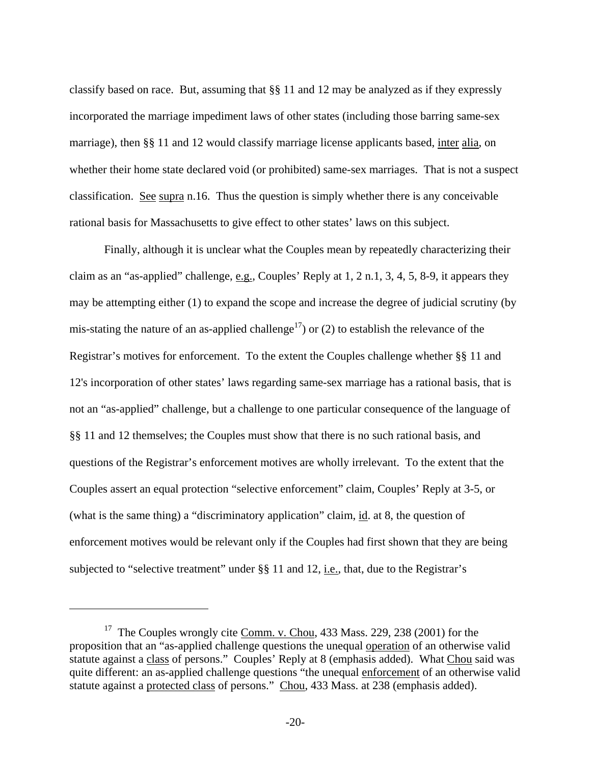classify based on race. But, assuming that §§ 11 and 12 may be analyzed as if they expressly incorporated the marriage impediment laws of other states (including those barring same-sex marriage), then §§ 11 and 12 would classify marriage license applicants based, inter alia, on whether their home state declared void (or prohibited) same-sex marriages. That is not a suspect classification. See supra n.16. Thus the question is simply whether there is any conceivable rational basis for Massachusetts to give effect to other states' laws on this subject.

 Finally, although it is unclear what the Couples mean by repeatedly characterizing their claim as an "as-applied" challenge, e.g., Couples' Reply at 1, 2 n.1, 3, 4, 5, 8-9, it appears they may be attempting either (1) to expand the scope and increase the degree of judicial scrutiny (by mis-stating the nature of an as-applied challenge<sup>17</sup>) or (2) to establish the relevance of the Registrar's motives for enforcement. To the extent the Couples challenge whether §§ 11 and 12's incorporation of other states' laws regarding same-sex marriage has a rational basis, that is not an "as-applied" challenge, but a challenge to one particular consequence of the language of §§ 11 and 12 themselves; the Couples must show that there is no such rational basis, and questions of the Registrar's enforcement motives are wholly irrelevant. To the extent that the Couples assert an equal protection "selective enforcement" claim, Couples' Reply at 3-5, or (what is the same thing) a "discriminatory application" claim, id. at 8, the question of enforcement motives would be relevant only if the Couples had first shown that they are being subjected to "selective treatment" under §§ 11 and 12, i.e., that, due to the Registrar's

<span id="page-19-0"></span><sup>&</sup>lt;sup>17</sup> The Couples wrongly cite Comm. v. Chou, 433 Mass. 229, 238 (2001) for the proposition that an "as-applied challenge questions the unequal operation of an otherwise valid statute against a class of persons." Couples' Reply at 8 (emphasis added). What Chou said was quite different: an as-applied challenge questions "the unequal enforcement of an otherwise valid statute against a protected class of persons." Chou, 433 Mass. at 238 (emphasis added).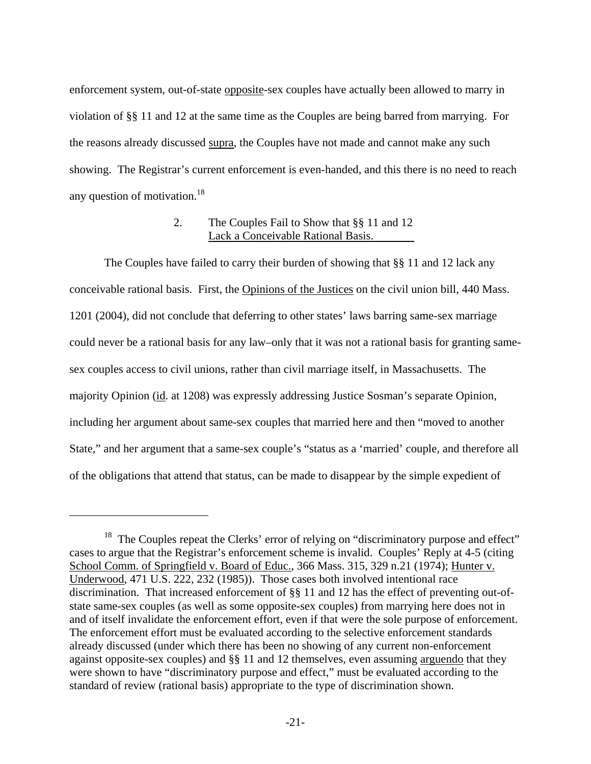enforcement system, out-of-state opposite-sex couples have actually been allowed to marry in violation of §§ 11 and 12 at the same time as the Couples are being barred from marrying. For the reasons already discussed supra, the Couples have not made and cannot make any such showing. The Registrar's current enforcement is even-handed, and this there is no need to reach any question of motivation.<sup>18</sup>

#### 2. The Couples Fail to Show that §§ 11 and 12 Lack a Conceivable Rational Basis.

 The Couples have failed to carry their burden of showing that §§ 11 and 12 lack any conceivable rational basis. First, the Opinions of the Justices on the civil union bill, 440 Mass. 1201 (2004), did not conclude that deferring to other states' laws barring same-sex marriage could never be a rational basis for any law–only that it was not a rational basis for granting samesex couples access to civil unions, rather than civil marriage itself, in Massachusetts. The majority Opinion (id. at 1208) was expressly addressing Justice Sosman's separate Opinion, including her argument about same-sex couples that married here and then "moved to another State," and her argument that a same-sex couple's "status as a 'married' couple, and therefore all of the obligations that attend that status, can be made to disappear by the simple expedient of

<span id="page-20-0"></span><sup>&</sup>lt;sup>18</sup> The Couples repeat the Clerks' error of relying on "discriminatory purpose and effect" cases to argue that the Registrar's enforcement scheme is invalid. Couples' Reply at 4-5 (citing School Comm. of Springfield v. Board of Educ., 366 Mass. 315, 329 n.21 (1974); Hunter v. Underwood, 471 U.S. 222, 232 (1985)). Those cases both involved intentional race discrimination. That increased enforcement of §§ 11 and 12 has the effect of preventing out-ofstate same-sex couples (as well as some opposite-sex couples) from marrying here does not in and of itself invalidate the enforcement effort, even if that were the sole purpose of enforcement. The enforcement effort must be evaluated according to the selective enforcement standards already discussed (under which there has been no showing of any current non-enforcement against opposite-sex couples) and §§ 11 and 12 themselves, even assuming arguendo that they were shown to have "discriminatory purpose and effect," must be evaluated according to the standard of review (rational basis) appropriate to the type of discrimination shown.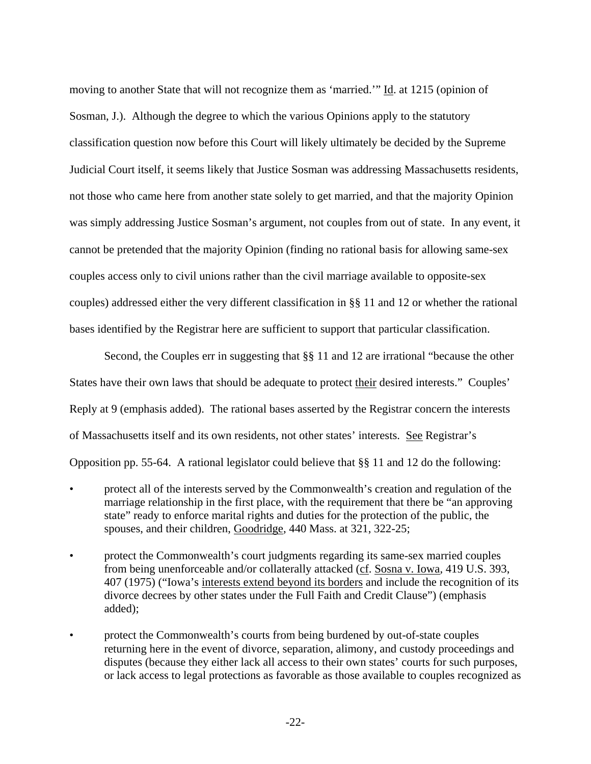moving to another State that will not recognize them as 'married.'" Id. at 1215 (opinion of Sosman, J.). Although the degree to which the various Opinions apply to the statutory classification question now before this Court will likely ultimately be decided by the Supreme Judicial Court itself, it seems likely that Justice Sosman was addressing Massachusetts residents, not those who came here from another state solely to get married, and that the majority Opinion was simply addressing Justice Sosman's argument, not couples from out of state. In any event, it cannot be pretended that the majority Opinion (finding no rational basis for allowing same-sex couples access only to civil unions rather than the civil marriage available to opposite-sex couples) addressed either the very different classification in §§ 11 and 12 or whether the rational bases identified by the Registrar here are sufficient to support that particular classification.

Second, the Couples err in suggesting that  $\S$ § 11 and 12 are irrational "because the other States have their own laws that should be adequate to protect their desired interests." Couples' Reply at 9 (emphasis added). The rational bases asserted by the Registrar concern the interests of Massachusetts itself and its own residents, not other states' interests. See Registrar's Opposition pp. 55-64. A rational legislator could believe that §§ 11 and 12 do the following:

- protect all of the interests served by the Commonwealth's creation and regulation of the marriage relationship in the first place, with the requirement that there be "an approving state" ready to enforce marital rights and duties for the protection of the public, the spouses, and their children, Goodridge, 440 Mass. at 321, 322-25;
- protect the Commonwealth's court judgments regarding its same-sex married couples from being unenforceable and/or collaterally attacked (cf. Sosna v. Iowa, 419 U.S. 393, 407 (1975) ("Iowa's interests extend beyond its borders and include the recognition of its divorce decrees by other states under the Full Faith and Credit Clause") (emphasis added);
- protect the Commonwealth's courts from being burdened by out-of-state couples returning here in the event of divorce, separation, alimony, and custody proceedings and disputes (because they either lack all access to their own states' courts for such purposes, or lack access to legal protections as favorable as those available to couples recognized as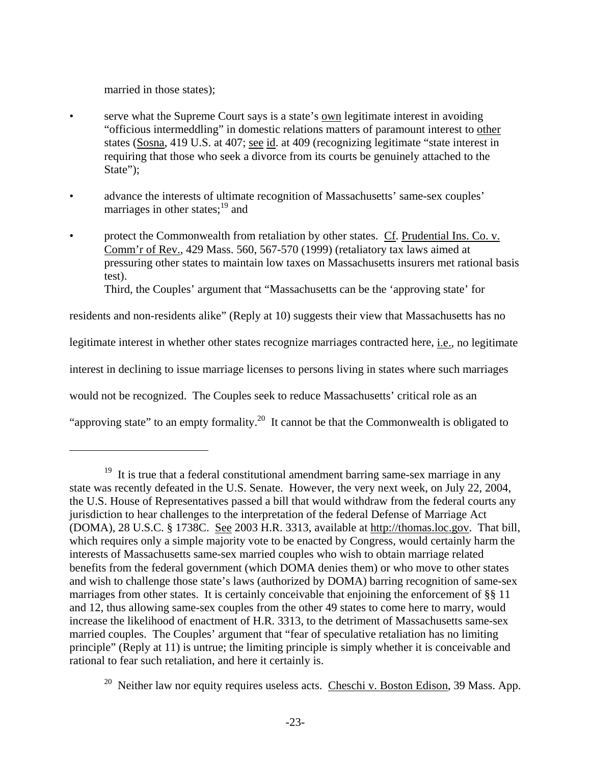married in those states);

 $\overline{a}$ 

- <span id="page-22-1"></span>• serve what the Supreme Court says is a state's own legitimate interest in avoiding "officious intermeddling" in domestic relations matters of paramount interest to other states (Sosna, 419 U.S. at 407; see id. at 409 (recognizing legitimate "state interest in requiring that those who seek a divorce from its courts be genuinely attached to the State";
- advance the interests of ultimate recognition of Massachusetts' same-sex couples' marriages in other states; $^{19}$  and
- protect the Commonwealth from retaliation by other states. Cf. Prudential Ins. Co. v. Comm'r of Rev., 429 Mass. 560, 567-570 (1999) (retaliatory tax laws aimed at pressuring other states to maintain low taxes on Massachusetts insurers met rational basis test). Third, the Couples' argument that "Massachusetts can be the 'approving state' for

residents and non-residents alike" (Reply at 10) suggests their view that Massachusetts has no legitimate interest in whether other states recognize marriages contracted here, i.e., no legitimate interest in declining to issue marriage licenses to persons living in states where such marriages would not be recognized. The Couples seek to reduce Massachusetts' critical role as an

<sup>&</sup>quot;approving state" to an empty formality.<sup>20</sup> It cannot be that the Commonwealth is obligated to

<span id="page-22-0"></span> $19$  It is true that a federal constitutional amendment barring same-sex marriage in any state was recently defeated in the U.S. Senate. However, the very next week, on July 22, 2004, the U.S. House of Representatives passed a bill that would withdraw from the federal courts any jurisdiction to hear challenges to the interpretation of the federal Defense of Marriage Act (DOMA), 28 U.S.C. § 1738C. See 2003 H.R. 3313, available at http://thomas.loc.gov. That bill, which requires only a simple majority vote to be enacted by Congress, would certainly harm the interests of Massachusetts same-sex married couples who wish to obtain marriage related benefits from the federal government (which DOMA denies them) or who move to other states and wish to challenge those state's laws (authorized by DOMA) barring recognition of same-sex marriages from other states. It is certainly conceivable that enjoining the enforcement of §§ 11 and 12, thus allowing same-sex couples from the other 49 states to come here to marry, would increase the likelihood of enactment of H.R. 3313, to the detriment of Massachusetts same-sex married couples. The Couples' argument that "fear of speculative retaliation has no limiting principle" (Reply at 11) is untrue; the limiting principle is simply whether it is conceivable and rational to fear such retaliation, and here it certainly is.

<sup>&</sup>lt;sup>20</sup> Neither law nor equity requires useless acts. Cheschi v. Boston Edison, 39 Mass. App.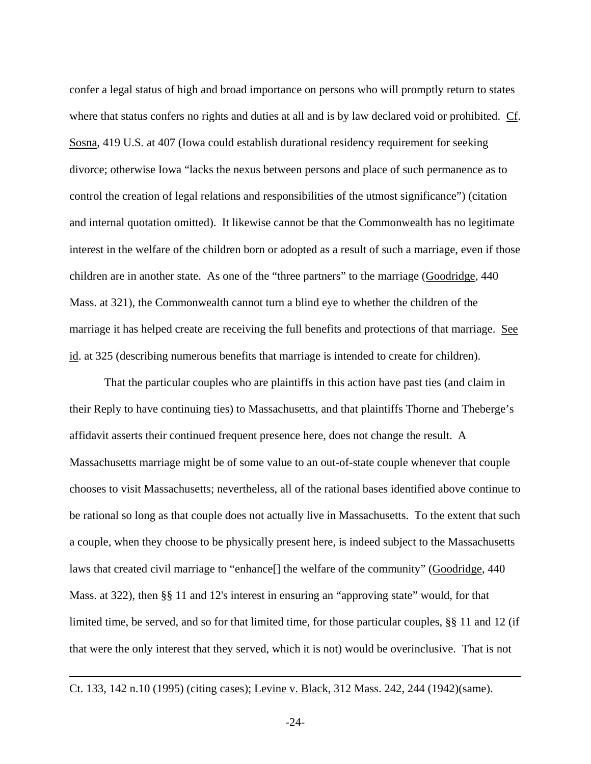confer a legal status of high and broad importance on persons who will promptly return to states where that status confers no rights and duties at all and is by law declared void or prohibited. Cf. Sosna, 419 U.S. at 407 (Iowa could establish durational residency requirement for seeking divorce; otherwise Iowa "lacks the nexus between persons and place of such permanence as to control the creation of legal relations and responsibilities of the utmost significance") (citation and internal quotation omitted). It likewise cannot be that the Commonwealth has no legitimate interest in the welfare of the children born or adopted as a result of such a marriage, even if those children are in another state. As one of the "three partners" to the marriage (Goodridge, 440 Mass. at 321), the Commonwealth cannot turn a blind eye to whether the children of the marriage it has helped create are receiving the full benefits and protections of that marriage. See id. at 325 (describing numerous benefits that marriage is intended to create for children).

 That the particular couples who are plaintiffs in this action have past ties (and claim in their Reply to have continuing ties) to Massachusetts, and that plaintiffs Thorne and Theberge's affidavit asserts their continued frequent presence here, does not change the result. A Massachusetts marriage might be of some value to an out-of-state couple whenever that couple chooses to visit Massachusetts; nevertheless, all of the rational bases identified above continue to be rational so long as that couple does not actually live in Massachusetts. To the extent that such a couple, when they choose to be physically present here, is indeed subject to the Massachusetts laws that created civil marriage to "enhance[] the welfare of the community" (Goodridge, 440 Mass. at 322), then §§ 11 and 12's interest in ensuring an "approving state" would, for that limited time, be served, and so for that limited time, for those particular couples, §§ 11 and 12 (if that were the only interest that they served, which it is not) would be overinclusive. That is not

Ct. 133, 142 n.10 (1995) (citing cases); Levine v. Black, 312 Mass. 242, 244 (1942)(same).

1

-24-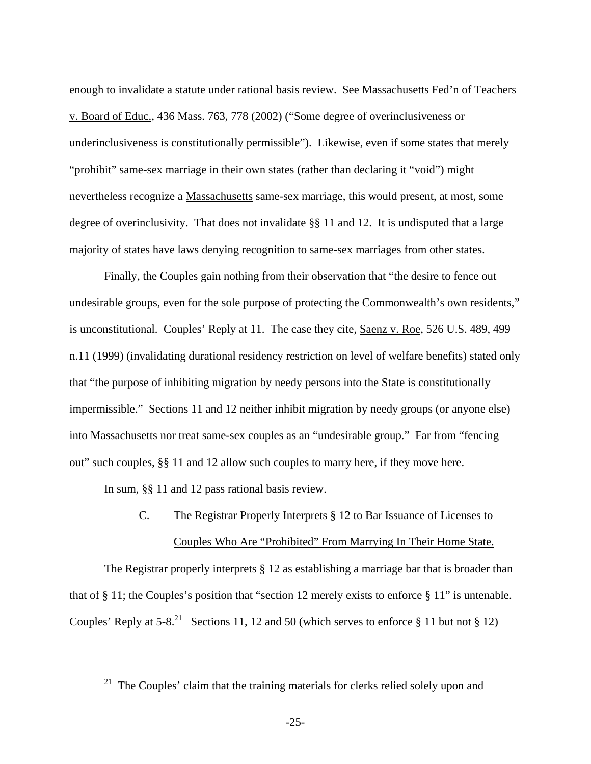<span id="page-24-0"></span>enough to invalidate a statute under rational basis review. See Massachusetts Fed'n of Teachers v. Board of Educ., 436 Mass. 763, 778 (2002) ("Some degree of overinclusiveness or underinclusiveness is constitutionally permissible"). Likewise, even if some states that merely "prohibit" same-sex marriage in their own states (rather than declaring it "void") might nevertheless recognize a Massachusetts same-sex marriage, this would present, at most, some degree of overinclusivity. That does not invalidate §§ 11 and 12. It is undisputed that a large majority of states have laws denying recognition to same-sex marriages from other states.

 Finally, the Couples gain nothing from their observation that "the desire to fence out undesirable groups, even for the sole purpose of protecting the Commonwealth's own residents," is unconstitutional. Couples' Reply at 11. The case they cite, Saenz v. Roe, 526 U.S. 489, 499 n.11 (1999) (invalidating durational residency restriction on level of welfare benefits) stated only that "the purpose of inhibiting migration by needy persons into the State is constitutionally impermissible." Sections 11 and 12 neither inhibit migration by needy groups (or anyone else) into Massachusetts nor treat same-sex couples as an "undesirable group." Far from "fencing out" such couples, §§ 11 and 12 allow such couples to marry here, if they move here.

In sum, §§ 11 and 12 pass rational basis review.

1

## C. The Registrar Properly Interprets § 12 to Bar Issuance of Licenses to Couples Who Are "Prohibited" From Marrying In Their Home State.

The Registrar properly interprets § 12 as establishing a marriage bar that is broader than that of § 11; the Couples's position that "section 12 merely exists to enforce § 11" is untenable. Couples' Reply at  $5-8<sup>21</sup>$  Sections 11, 12 and 50 (which serves to enforce § 11 but not § 12)

 $21$  The Couples' claim that the training materials for clerks relied solely upon and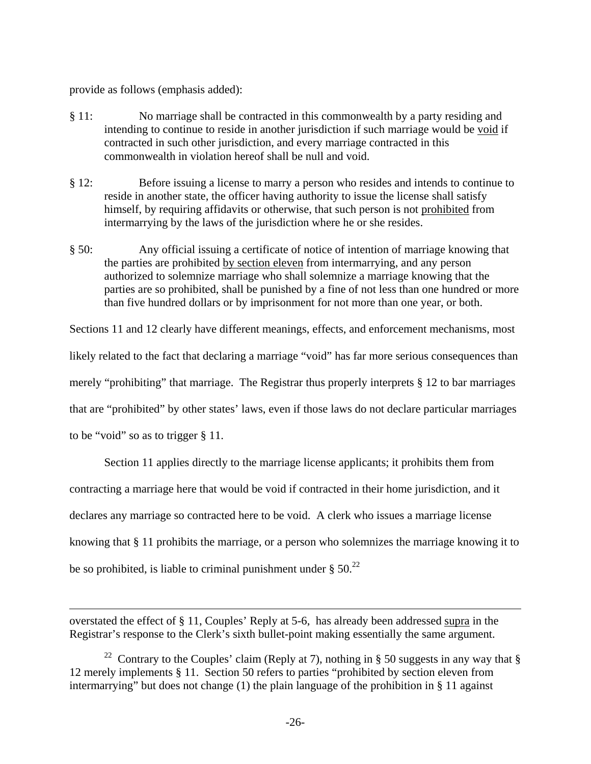<span id="page-25-0"></span>provide as follows (emphasis added):

- § 11: No marriage shall be contracted in this commonwealth by a party residing and intending to continue to reside in another jurisdiction if such marriage would be void if contracted in such other jurisdiction, and every marriage contracted in this commonwealth in violation hereof shall be null and void.
- § 12: Before issuing a license to marry a person who resides and intends to continue to reside in another state, the officer having authority to issue the license shall satisfy himself, by requiring affidavits or otherwise, that such person is not prohibited from intermarrying by the laws of the jurisdiction where he or she resides.
- § 50: Any official issuing a certificate of notice of intention of marriage knowing that the parties are prohibited by section eleven from intermarrying, and any person authorized to solemnize marriage who shall solemnize a marriage knowing that the parties are so prohibited, shall be punished by a fine of not less than one hundred or more than five hundred dollars or by imprisonment for not more than one year, or both.

Sections 11 and 12 clearly have different meanings, effects, and enforcement mechanisms, most likely related to the fact that declaring a marriage "void" has far more serious consequences than merely "prohibiting" that marriage. The Registrar thus properly interprets § 12 to bar marriages that are "prohibited" by other states' laws, even if those laws do not declare particular marriages to be "void" so as to trigger § 11.

Section 11 applies directly to the marriage license applicants; it prohibits them from

contracting a marriage here that would be void if contracted in their home jurisdiction, and it

declares any marriage so contracted here to be void. A clerk who issues a marriage license

knowing that § 11 prohibits the marriage, or a person who solemnizes the marriage knowing it to

be so prohibited, is liable to criminal punishment under  $\S 50<sup>22</sup>$  $\S 50<sup>22</sup>$  $\S 50<sup>22</sup>$ 

 $\overline{a}$ 

overstated the effect of § 11, Couples' Reply at 5-6, has already been addressed supra in the Registrar's response to the Clerk's sixth bullet-point making essentially the same argument.

<sup>&</sup>lt;sup>22</sup> Contrary to the Couples' claim (Reply at 7), nothing in § 50 suggests in any way that § 12 merely implements § 11. Section 50 refers to parties "prohibited by section eleven from intermarrying" but does not change (1) the plain language of the prohibition in § 11 against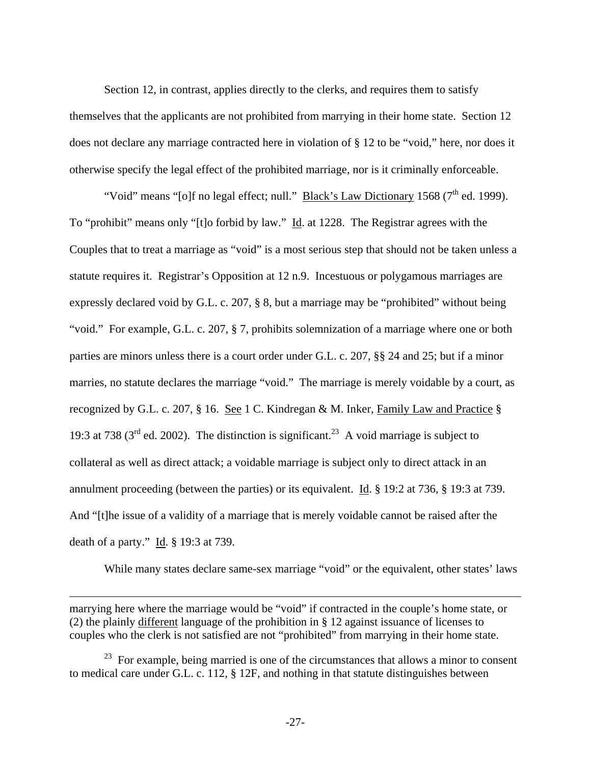<span id="page-26-0"></span> Section 12, in contrast, applies directly to the clerks, and requires them to satisfy themselves that the applicants are not prohibited from marrying in their home state. Section 12 does not declare any marriage contracted here in violation of § 12 to be "void," here, nor does it otherwise specify the legal effect of the prohibited marriage, nor is it criminally enforceable.

"Void" means "[o]f no legal effect; null." Black's Law Dictionary 1568 ( $7<sup>th</sup>$  ed. 1999). To "prohibit" means only "[t]o forbid by law." Id. at 1228. The Registrar agrees with the Couples that to treat a marriage as "void" is a most serious step that should not be taken unless a statute requires it. Registrar's Opposition at 12 n.9. Incestuous or polygamous marriages are expressly declared void by G.L. c. 207, § 8, but a marriage may be "prohibited" without being "void." For example, G.L. c. 207, § 7, prohibits solemnization of a marriage where one or both parties are minors unless there is a court order under G.L. c. 207, §§ 24 and 25; but if a minor marries, no statute declares the marriage "void." The marriage is merely voidable by a court, as recognized by G.L. c. 207, § 16. See 1 C. Kindregan & M. Inker, Family Law and Practice § 19:3 at 738 ( $3<sup>rd</sup>$  ed. 2002). The distinction is significant.<sup>23</sup> A void marriage is subject to collateral as well as direct attack; a voidable marriage is subject only to direct attack in an annulment proceeding (between the parties) or its equivalent. Id. § 19:2 at 736, § 19:3 at 739. And "[t]he issue of a validity of a marriage that is merely voidable cannot be raised after the death of a party." Id. § 19:3 at 739.

While many states declare same-sex marriage "void" or the equivalent, other states' laws

marrying here where the marriage would be "void" if contracted in the couple's home state, or (2) the plainly different language of the prohibition in § 12 against issuance of licenses to couples who the clerk is not satisfied are not "prohibited" from marrying in their home state.

1

 $23$  For example, being married is one of the circumstances that allows a minor to consent to medical care under G.L. c. 112, § 12F, and nothing in that statute distinguishes between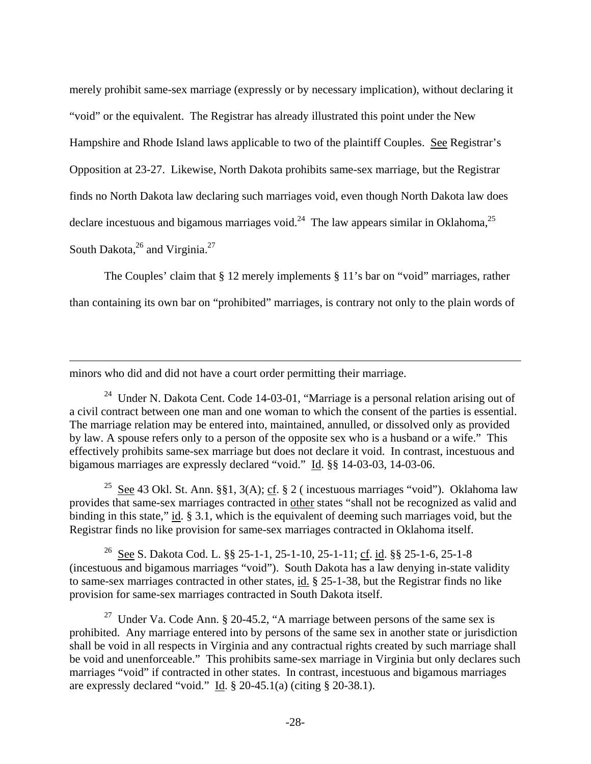merely prohibit same-sex marriage (expressly or by necessary implication), without declaring it "void" or the equivalent. The Registrar has already illustrated this point under the New Hampshire and Rhode Island laws applicable to two of the plaintiff Couples. See Registrar's Opposition at 23-27. Likewise, North Dakota prohibits same-sex marriage, but the Registrar finds no North Dakota law declaring such marriages void, even though North Dakota law does declare incestuous and bigamous marriages void.<sup>24</sup> The law appears similar in Oklahoma,<sup>25</sup> South Dakota, $^{26}$  and Virginia. $^{27}$  $^{27}$  $^{27}$ 

 The Couples' claim that § 12 merely implements § 11's bar on "void" marriages, rather than containing its own bar on "prohibited" marriages, is contrary not only to the plain words of

minors who did and did not have a court order permitting their marriage.

 $\overline{a}$ 

<span id="page-27-0"></span><sup>24</sup> Under N. Dakota Cent. Code 14-03-01, "Marriage is a personal relation arising out of a civil contract between one man and one woman to which the consent of the parties is essential. The marriage relation may be entered into, maintained, annulled, or dissolved only as provided by law. A spouse refers only to a person of the opposite sex who is a husband or a wife." This effectively prohibits same-sex marriage but does not declare it void. In contrast, incestuous and bigamous marriages are expressly declared "void." Id. §§ 14-03-03, 14-03-06.

<span id="page-27-1"></span><sup>25</sup> See 43 Okl. St. Ann. §§1, 3(A); cf. § 2 ( incestuous marriages "void"). Oklahoma law provides that same-sex marriages contracted in other states "shall not be recognized as valid and binding in this state," id. § 3.1, which is the equivalent of deeming such marriages void, but the Registrar finds no like provision for same-sex marriages contracted in Oklahoma itself.

<span id="page-27-2"></span>26 See S. Dakota Cod. L. §§ 25-1-1, 25-1-10, 25-1-11; cf. id. §§ 25-1-6, 25-1-8 (incestuous and bigamous marriages "void"). South Dakota has a law denying in-state validity to same-sex marriages contracted in other states, id. § 25-1-38, but the Registrar finds no like provision for same-sex marriages contracted in South Dakota itself.

<span id="page-27-3"></span><sup>27</sup> Under Va. Code Ann. § 20-45.2, "A marriage between persons of the same sex is prohibited. Any marriage entered into by persons of the same sex in another state or jurisdiction shall be void in all respects in Virginia and any contractual rights created by such marriage shall be void and unenforceable." This prohibits same-sex marriage in Virginia but only declares such marriages "void" if contracted in other states. In contrast, incestuous and bigamous marriages are expressly declared "void." Id. § 20-45.1(a) (citing § 20-38.1).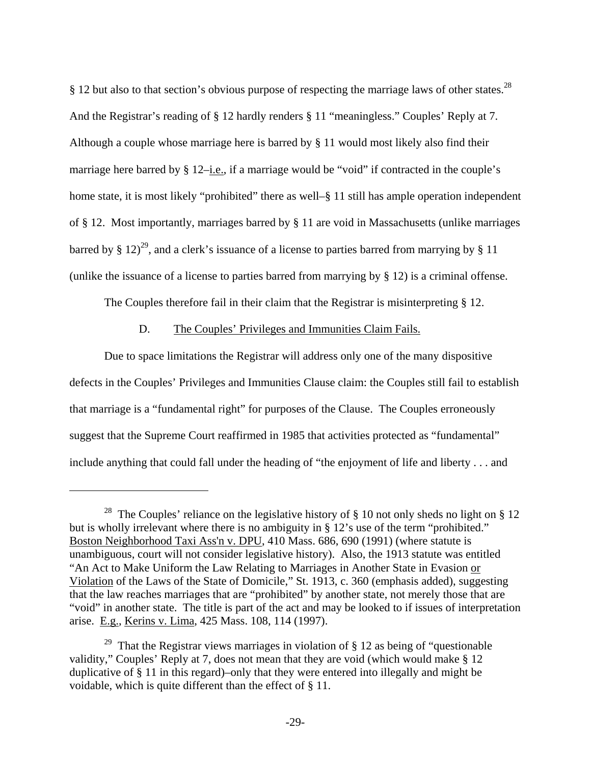§ 12 but also to that section's obvious purpose of respecting the marriage laws of other states.<sup>28</sup> And the Registrar's reading of § 12 hardly renders § 11 "meaningless." Couples' Reply at 7. Although a couple whose marriage here is barred by § 11 would most likely also find their marriage here barred by  $\S 12$ –*i.e.*, if a marriage would be "void" if contracted in the couple's home state, it is most likely "prohibited" there as well–§ 11 still has ample operation independent of § 12. Most importantly, marriages barred by § 11 are void in Massachusetts (unlike marriages barred by § 12)<sup>29</sup>, and a clerk's issuance of a license to parties barred from marrying by § 11 (unlike the issuance of a license to parties barred from marrying by § 12) is a criminal offense.

The Couples therefore fail in their claim that the Registrar is misinterpreting § 12.

#### D. The Couples' Privileges and Immunities Claim Fails.

 $\overline{a}$ 

 Due to space limitations the Registrar will address only one of the many dispositive defects in the Couples' Privileges and Immunities Clause claim: the Couples still fail to establish that marriage is a "fundamental right" for purposes of the Clause. The Couples erroneously suggest that the Supreme Court reaffirmed in 1985 that activities protected as "fundamental" include anything that could fall under the heading of "the enjoyment of life and liberty . . . and

<span id="page-28-0"></span><sup>&</sup>lt;sup>28</sup> The Couples' reliance on the legislative history of  $\S$  10 not only sheds no light on  $\S$  12 but is wholly irrelevant where there is no ambiguity in § 12's use of the term "prohibited." Boston Neighborhood Taxi Ass'n v. DPU, 410 Mass. 686, 690 (1991) (where statute is unambiguous, court will not consider legislative history). Also, the 1913 statute was entitled "An Act to Make Uniform the Law Relating to Marriages in Another State in Evasion or Violation of the Laws of the State of Domicile," St. 1913, c. 360 (emphasis added), suggesting that the law reaches marriages that are "prohibited" by another state, not merely those that are "void" in another state. The title is part of the act and may be looked to if issues of interpretation arise. E.g., Kerins v. Lima, 425 Mass. 108, 114 (1997).

<span id="page-28-1"></span><sup>&</sup>lt;sup>29</sup> That the Registrar views marriages in violation of  $\S 12$  as being of "questionable" validity," Couples' Reply at 7, does not mean that they are void (which would make § 12 duplicative of § 11 in this regard)–only that they were entered into illegally and might be voidable, which is quite different than the effect of § 11.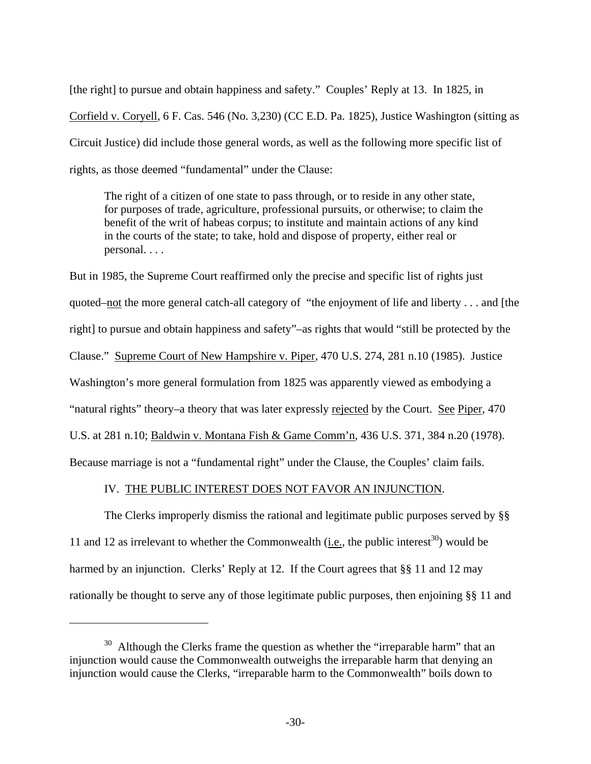[the right] to pursue and obtain happiness and safety." Couples' Reply at 13. In 1825, in Corfield v. Coryell, 6 F. Cas. 546 (No. 3,230) (CC E.D. Pa. 1825), Justice Washington (sitting as Circuit Justice) did include those general words, as well as the following more specific list of rights, as those deemed "fundamental" under the Clause:

The right of a citizen of one state to pass through, or to reside in any other state, for purposes of trade, agriculture, professional pursuits, or otherwise; to claim the benefit of the writ of habeas corpus; to institute and maintain actions of any kind in the courts of the state; to take, hold and dispose of property, either real or personal. . . .

But in 1985, the Supreme Court reaffirmed only the precise and specific list of rights just quoted–not the more general catch-all category of "the enjoyment of life and liberty . . . and [the right] to pursue and obtain happiness and safety"–as rights that would "still be protected by the Clause." Supreme Court of New Hampshire v. Piper, 470 U.S. 274, 281 n.10 (1985). Justice Washington's more general formulation from 1825 was apparently viewed as embodying a "natural rights" theory–a theory that was later expressly rejected by the Court. See Piper, 470 U.S. at 281 n.10; Baldwin v. Montana Fish & Game Comm'n, 436 U.S. 371, 384 n.20 (1978). Because marriage is not a "fundamental right" under the Clause, the Couples' claim fails.

#### IV. THE PUBLIC INTEREST DOES NOT FAVOR AN INJUNCTION.

 The Clerks improperly dismiss the rational and legitimate public purposes served by §§ 11 and 12 as irrelevant to whether the Commonwealth (i.e., the public interest<sup>30</sup>) would be harmed by an injunction. Clerks' Reply at 12. If the Court agrees that §§ 11 and 12 may rationally be thought to serve any of those legitimate public purposes, then enjoining §§ 11 and

<span id="page-29-0"></span> $30$  Although the Clerks frame the question as whether the "irreparable harm" that an injunction would cause the Commonwealth outweighs the irreparable harm that denying an injunction would cause the Clerks, "irreparable harm to the Commonwealth" boils down to